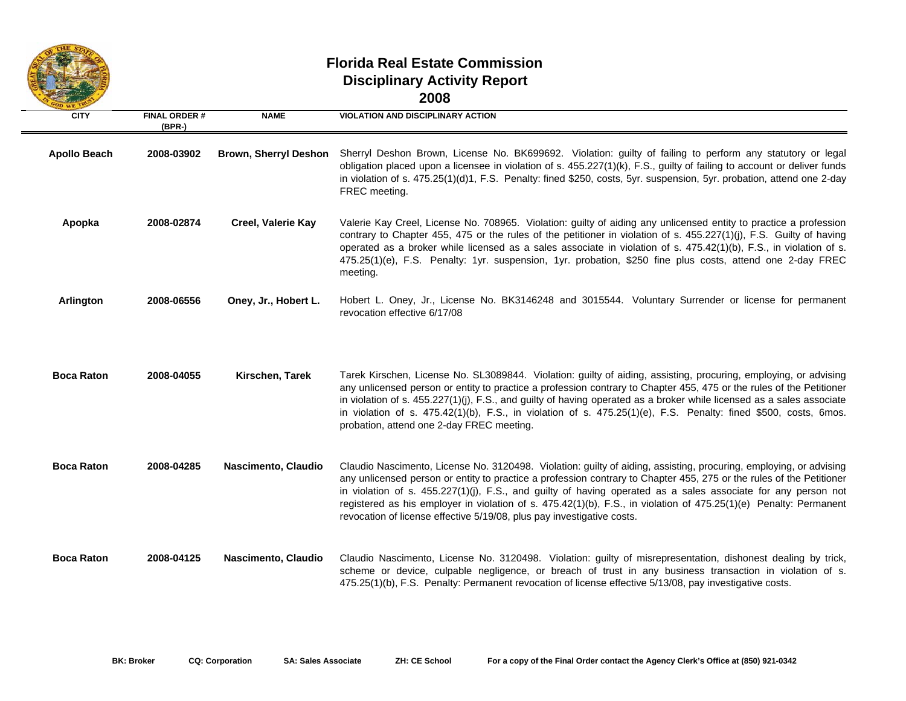

## **Florida Real Estate CommissionDisciplinary Activity Report 2008**

| OD WE T             |                                 |                              |                                                                                                                                                                                                                                                                                                                                                                                                                                                                                                                                                            |
|---------------------|---------------------------------|------------------------------|------------------------------------------------------------------------------------------------------------------------------------------------------------------------------------------------------------------------------------------------------------------------------------------------------------------------------------------------------------------------------------------------------------------------------------------------------------------------------------------------------------------------------------------------------------|
| <b>CITY</b>         | <b>FINAL ORDER#</b><br>$(BPR-)$ | <b>NAME</b>                  | <b>VIOLATION AND DISCIPLINARY ACTION</b>                                                                                                                                                                                                                                                                                                                                                                                                                                                                                                                   |
| <b>Apollo Beach</b> | 2008-03902                      | <b>Brown, Sherryl Deshon</b> | Sherryl Deshon Brown, License No. BK699692. Violation: guilty of failing to perform any statutory or legal<br>obligation placed upon a licensee in violation of s. 455.227(1)(k), F.S., guilty of failing to account or deliver funds<br>in violation of s. 475.25(1)(d)1, F.S. Penalty: fined \$250, costs, 5yr. suspension, 5yr. probation, attend one 2-day<br>FREC meeting.                                                                                                                                                                            |
| Apopka              | 2008-02874                      | <b>Creel, Valerie Kay</b>    | Valerie Kay Creel, License No. 708965. Violation: guilty of aiding any unlicensed entity to practice a profession<br>contrary to Chapter 455, 475 or the rules of the petitioner in violation of s. 455.227(1)(j), F.S. Guilty of having<br>operated as a broker while licensed as a sales associate in violation of s. 475.42(1)(b), F.S., in violation of s.<br>475.25(1)(e), F.S. Penalty: 1yr. suspension, 1yr. probation, \$250 fine plus costs, attend one 2-day FREC<br>meeting.                                                                    |
| Arlington           | 2008-06556                      | Oney, Jr., Hobert L.         | Hobert L. Oney, Jr., License No. BK3146248 and 3015544. Voluntary Surrender or license for permanent<br>revocation effective 6/17/08                                                                                                                                                                                                                                                                                                                                                                                                                       |
| <b>Boca Raton</b>   | 2008-04055                      | Kirschen, Tarek              | Tarek Kirschen, License No. SL3089844. Violation: guilty of aiding, assisting, procuring, employing, or advising<br>any unlicensed person or entity to practice a profession contrary to Chapter 455, 475 or the rules of the Petitioner<br>in violation of s. 455.227(1)(j), F.S., and guilty of having operated as a broker while licensed as a sales associate<br>in violation of s. 475.42(1)(b), F.S., in violation of s. 475.25(1)(e), F.S. Penalty: fined \$500, costs, 6mos.<br>probation, attend one 2-day FREC meeting.                          |
| <b>Boca Raton</b>   | 2008-04285                      | Nascimento, Claudio          | Claudio Nascimento, License No. 3120498. Violation: guilty of aiding, assisting, procuring, employing, or advising<br>any unlicensed person or entity to practice a profession contrary to Chapter 455, 275 or the rules of the Petitioner<br>in violation of s. 455.227(1)(j), F.S., and guilty of having operated as a sales associate for any person not<br>registered as his employer in violation of s. 475.42(1)(b), F.S., in violation of 475.25(1)(e) Penalty: Permanent<br>revocation of license effective 5/19/08, plus pay investigative costs. |
| <b>Boca Raton</b>   | 2008-04125                      | Nascimento, Claudio          | Claudio Nascimento, License No. 3120498. Violation: guilty of misrepresentation, dishonest dealing by trick,<br>scheme or device, culpable negligence, or breach of trust in any business transaction in violation of s.<br>475.25(1)(b), F.S. Penalty: Permanent revocation of license effective 5/13/08, pay investigative costs.                                                                                                                                                                                                                        |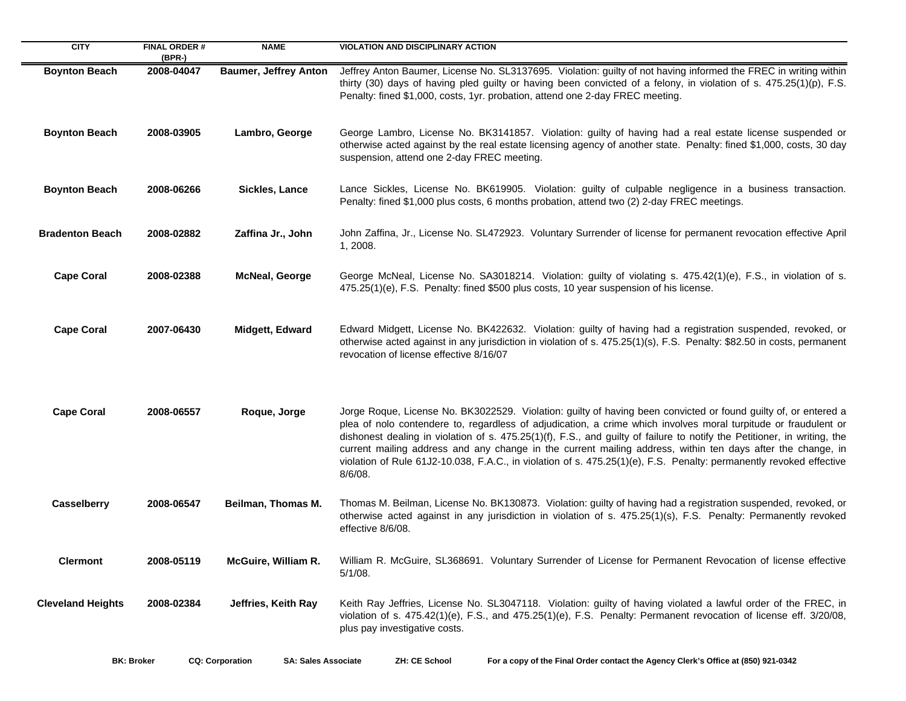| <b>CITY</b>              | <b>FINAL ORDER#</b><br>$(BPR-)$ | <b>NAME</b>                  | <b>VIOLATION AND DISCIPLINARY ACTION</b>                                                                                                                                                                                                                                                                                                                                                                                                                                                                                                                                                                           |
|--------------------------|---------------------------------|------------------------------|--------------------------------------------------------------------------------------------------------------------------------------------------------------------------------------------------------------------------------------------------------------------------------------------------------------------------------------------------------------------------------------------------------------------------------------------------------------------------------------------------------------------------------------------------------------------------------------------------------------------|
| <b>Boynton Beach</b>     | 2008-04047                      | <b>Baumer, Jeffrey Anton</b> | Jeffrey Anton Baumer, License No. SL3137695. Violation: guilty of not having informed the FREC in writing within<br>thirty (30) days of having pled guilty or having been convicted of a felony, in violation of s. 475.25(1)(p), F.S.<br>Penalty: fined \$1,000, costs, 1yr. probation, attend one 2-day FREC meeting.                                                                                                                                                                                                                                                                                            |
| <b>Boynton Beach</b>     | 2008-03905                      | Lambro, George               | George Lambro, License No. BK3141857. Violation: guilty of having had a real estate license suspended or<br>otherwise acted against by the real estate licensing agency of another state. Penalty: fined \$1,000, costs, 30 day<br>suspension, attend one 2-day FREC meeting.                                                                                                                                                                                                                                                                                                                                      |
| <b>Boynton Beach</b>     | 2008-06266                      | <b>Sickles, Lance</b>        | Lance Sickles, License No. BK619905. Violation: guilty of culpable negligence in a business transaction.<br>Penalty: fined \$1,000 plus costs, 6 months probation, attend two (2) 2-day FREC meetings.                                                                                                                                                                                                                                                                                                                                                                                                             |
| <b>Bradenton Beach</b>   | 2008-02882                      | Zaffina Jr., John            | John Zaffina, Jr., License No. SL472923. Voluntary Surrender of license for permanent revocation effective April<br>1, 2008.                                                                                                                                                                                                                                                                                                                                                                                                                                                                                       |
| <b>Cape Coral</b>        | 2008-02388                      | <b>McNeal, George</b>        | George McNeal, License No. SA3018214. Violation: guilty of violating s. 475.42(1)(e), F.S., in violation of s.<br>475.25(1)(e), F.S. Penalty: fined \$500 plus costs, 10 year suspension of his license.                                                                                                                                                                                                                                                                                                                                                                                                           |
| <b>Cape Coral</b>        | 2007-06430                      | Midgett, Edward              | Edward Midgett, License No. BK422632. Violation: guilty of having had a registration suspended, revoked, or<br>otherwise acted against in any jurisdiction in violation of s. 475.25(1)(s), F.S. Penalty: \$82.50 in costs, permanent<br>revocation of license effective 8/16/07                                                                                                                                                                                                                                                                                                                                   |
| <b>Cape Coral</b>        | 2008-06557                      | Roque, Jorge                 | Jorge Roque, License No. BK3022529. Violation: guilty of having been convicted or found guilty of, or entered a<br>plea of nolo contendere to, regardless of adjudication, a crime which involves moral turpitude or fraudulent or<br>dishonest dealing in violation of s. 475.25(1)(f), F.S., and guilty of failure to notify the Petitioner, in writing, the<br>current mailing address and any change in the current mailing address, within ten days after the change, in<br>violation of Rule 61J2-10.038, F.A.C., in violation of s. 475.25(1)(e), F.S. Penalty: permanently revoked effective<br>$8/6/08$ . |
| <b>Casselberry</b>       | 2008-06547                      | Beilman, Thomas M.           | Thomas M. Beilman, License No. BK130873. Violation: guilty of having had a registration suspended, revoked, or<br>otherwise acted against in any jurisdiction in violation of s. 475.25(1)(s), F.S. Penalty: Permanently revoked<br>effective 8/6/08.                                                                                                                                                                                                                                                                                                                                                              |
| <b>Clermont</b>          | 2008-05119                      | McGuire, William R.          | William R. McGuire, SL368691. Voluntary Surrender of License for Permanent Revocation of license effective<br>$5/1/08$ .                                                                                                                                                                                                                                                                                                                                                                                                                                                                                           |
| <b>Cleveland Heights</b> | 2008-02384                      | Jeffries, Keith Ray          | Keith Ray Jeffries, License No. SL3047118. Violation: guilty of having violated a lawful order of the FREC, in<br>violation of s. 475.42(1)(e), F.S., and 475.25(1)(e), F.S. Penalty: Permanent revocation of license eff. 3/20/08,<br>plus pay investigative costs.                                                                                                                                                                                                                                                                                                                                               |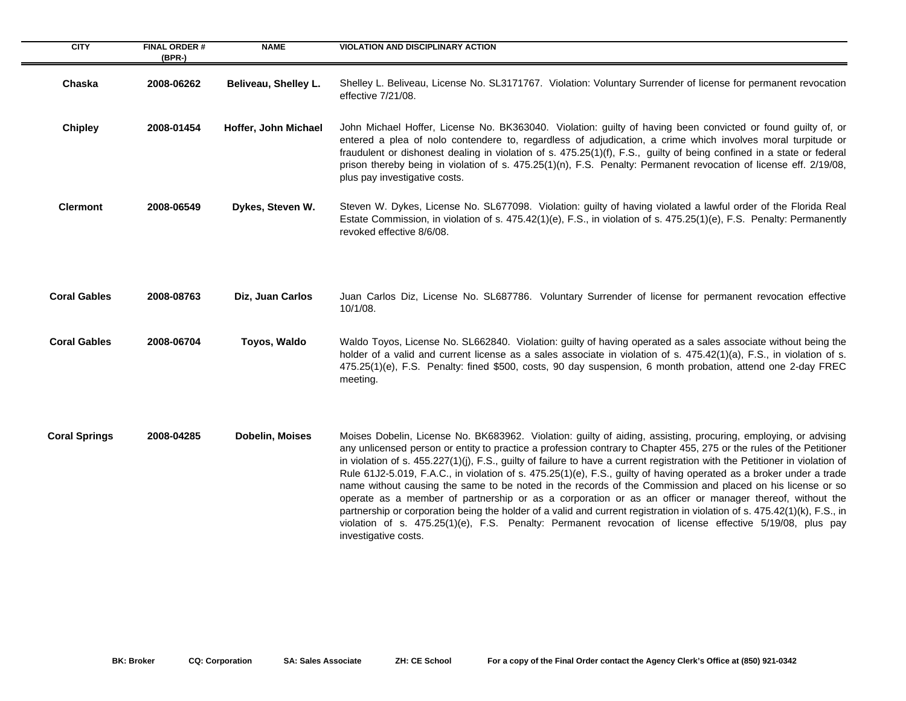| <b>CITY</b>          | <b>FINAL ORDER#</b><br>$(BPR-)$ | <b>NAME</b>          | <b>VIOLATION AND DISCIPLINARY ACTION</b>                                                                                                                                                                                                                                                                                                                                                                                                                                                                                                                                                                                                                                                                                                                                                                                                                                                                                                                                                |
|----------------------|---------------------------------|----------------------|-----------------------------------------------------------------------------------------------------------------------------------------------------------------------------------------------------------------------------------------------------------------------------------------------------------------------------------------------------------------------------------------------------------------------------------------------------------------------------------------------------------------------------------------------------------------------------------------------------------------------------------------------------------------------------------------------------------------------------------------------------------------------------------------------------------------------------------------------------------------------------------------------------------------------------------------------------------------------------------------|
| Chaska               | 2008-06262                      | Beliveau, Shelley L. | Shelley L. Beliveau, License No. SL3171767. Violation: Voluntary Surrender of license for permanent revocation<br>effective 7/21/08.                                                                                                                                                                                                                                                                                                                                                                                                                                                                                                                                                                                                                                                                                                                                                                                                                                                    |
| <b>Chipley</b>       | 2008-01454                      | Hoffer, John Michael | John Michael Hoffer, License No. BK363040. Violation: guilty of having been convicted or found guilty of, or<br>entered a plea of nolo contendere to, regardless of adjudication, a crime which involves moral turpitude or<br>fraudulent or dishonest dealing in violation of s. 475.25(1)(f), F.S., guilty of being confined in a state or federal<br>prison thereby being in violation of s. 475.25(1)(n), F.S. Penalty: Permanent revocation of license eff. 2/19/08,<br>plus pay investigative costs.                                                                                                                                                                                                                                                                                                                                                                                                                                                                              |
| <b>Clermont</b>      | 2008-06549                      | Dykes, Steven W.     | Steven W. Dykes, License No. SL677098. Violation: guilty of having violated a lawful order of the Florida Real<br>Estate Commission, in violation of s. 475.42(1)(e), F.S., in violation of s. 475.25(1)(e), F.S. Penalty: Permanently<br>revoked effective 8/6/08.                                                                                                                                                                                                                                                                                                                                                                                                                                                                                                                                                                                                                                                                                                                     |
| <b>Coral Gables</b>  | 2008-08763                      | Diz, Juan Carlos     | Juan Carlos Diz, License No. SL687786. Voluntary Surrender of license for permanent revocation effective<br>10/1/08.                                                                                                                                                                                                                                                                                                                                                                                                                                                                                                                                                                                                                                                                                                                                                                                                                                                                    |
| <b>Coral Gables</b>  | 2008-06704                      | Toyos, Waldo         | Waldo Toyos, License No. SL662840. Violation: guilty of having operated as a sales associate without being the<br>holder of a valid and current license as a sales associate in violation of s. 475.42(1)(a), F.S., in violation of s.<br>475.25(1)(e), F.S. Penalty: fined \$500, costs, 90 day suspension, 6 month probation, attend one 2-day FREC<br>meeting.                                                                                                                                                                                                                                                                                                                                                                                                                                                                                                                                                                                                                       |
| <b>Coral Springs</b> | 2008-04285                      | Dobelin, Moises      | Moises Dobelin, License No. BK683962. Violation: guilty of aiding, assisting, procuring, employing, or advising<br>any unlicensed person or entity to practice a profession contrary to Chapter 455, 275 or the rules of the Petitioner<br>in violation of s. 455.227(1)(j), F.S., guilty of failure to have a current registration with the Petitioner in violation of<br>Rule 61J2-5.019, F.A.C., in violation of s. 475.25(1)(e), F.S., guilty of having operated as a broker under a trade<br>name without causing the same to be noted in the records of the Commission and placed on his license or so<br>operate as a member of partnership or as a corporation or as an officer or manager thereof, without the<br>partnership or corporation being the holder of a valid and current registration in violation of s. 475.42(1)(k), F.S., in<br>violation of s. 475.25(1)(e), F.S. Penalty: Permanent revocation of license effective 5/19/08, plus pay<br>investigative costs. |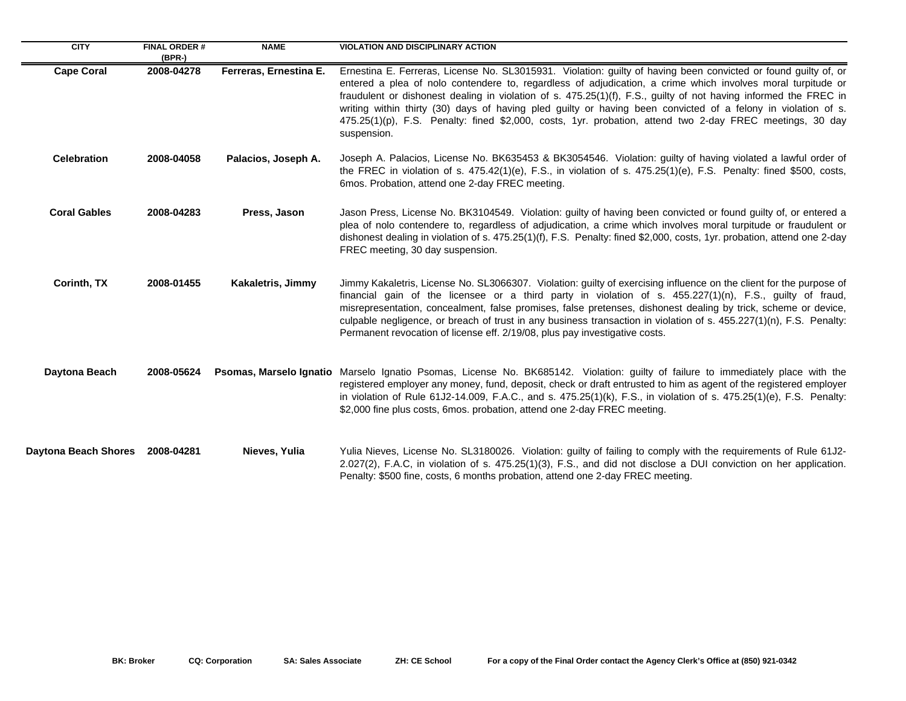| <b>CITY</b>                 | <b>FINAL ORDER #</b><br>$(BPR-)$ | <b>NAME</b>             | <b>VIOLATION AND DISCIPLINARY ACTION</b>                                                                                                                                                                                                                                                                                                                                                                                                                                                                                                                                                       |
|-----------------------------|----------------------------------|-------------------------|------------------------------------------------------------------------------------------------------------------------------------------------------------------------------------------------------------------------------------------------------------------------------------------------------------------------------------------------------------------------------------------------------------------------------------------------------------------------------------------------------------------------------------------------------------------------------------------------|
| <b>Cape Coral</b>           | 2008-04278                       | Ferreras, Ernestina E.  | Ernestina E. Ferreras, License No. SL3015931. Violation: guilty of having been convicted or found guilty of, or<br>entered a plea of nolo contendere to, regardless of adjudication, a crime which involves moral turpitude or<br>fraudulent or dishonest dealing in violation of s. 475.25(1)(f), F.S., guilty of not having informed the FREC in<br>writing within thirty (30) days of having pled guilty or having been convicted of a felony in violation of s.<br>475.25(1)(p), F.S. Penalty: fined \$2,000, costs, 1yr. probation, attend two 2-day FREC meetings, 30 day<br>suspension. |
| <b>Celebration</b>          | 2008-04058                       | Palacios, Joseph A.     | Joseph A. Palacios, License No. BK635453 & BK3054546. Violation: guilty of having violated a lawful order of<br>the FREC in violation of s. 475.42(1)(e), F.S., in violation of s. 475.25(1)(e), F.S. Penalty: fined \$500, costs,<br>6mos. Probation, attend one 2-day FREC meeting.                                                                                                                                                                                                                                                                                                          |
| <b>Coral Gables</b>         | 2008-04283                       | Press, Jason            | Jason Press, License No. BK3104549. Violation: guilty of having been convicted or found guilty of, or entered a<br>plea of nolo contendere to, regardless of adjudication, a crime which involves moral turpitude or fraudulent or<br>dishonest dealing in violation of s. 475.25(1)(f), F.S. Penalty: fined \$2,000, costs, 1yr. probation, attend one 2-day<br>FREC meeting, 30 day suspension.                                                                                                                                                                                              |
| Corinth, TX                 | 2008-01455                       | Kakaletris, Jimmy       | Jimmy Kakaletris, License No. SL3066307. Violation: guilty of exercising influence on the client for the purpose of<br>financial gain of the licensee or a third party in violation of s. 455.227(1)(n), F.S., guilty of fraud,<br>misrepresentation, concealment, false promises, false pretenses, dishonest dealing by trick, scheme or device,<br>culpable negligence, or breach of trust in any business transaction in violation of s. 455.227(1)(n), F.S. Penalty:<br>Permanent revocation of license eff. 2/19/08, plus pay investigative costs.                                        |
| Daytona Beach               | 2008-05624                       | Psomas, Marselo Ignatio | Marselo Ignatio Psomas, License No. BK685142. Violation: guilty of failure to immediately place with the<br>registered employer any money, fund, deposit, check or draft entrusted to him as agent of the registered employer<br>in violation of Rule 61J2-14.009, F.A.C., and s. 475.25(1)(k), F.S., in violation of s. 475.25(1)(e), F.S. Penalty:<br>\$2,000 fine plus costs, 6mos. probation, attend one 2-day FREC meeting.                                                                                                                                                               |
| <b>Daytona Beach Shores</b> | 2008-04281                       | Nieves, Yulia           | Yulia Nieves, License No. SL3180026. Violation: guilty of failing to comply with the requirements of Rule 61J2-<br>2.027(2), F.A.C, in violation of s. 475.25(1)(3), F.S., and did not disclose a DUI conviction on her application.<br>Penalty: \$500 fine, costs, 6 months probation, attend one 2-day FREC meeting.                                                                                                                                                                                                                                                                         |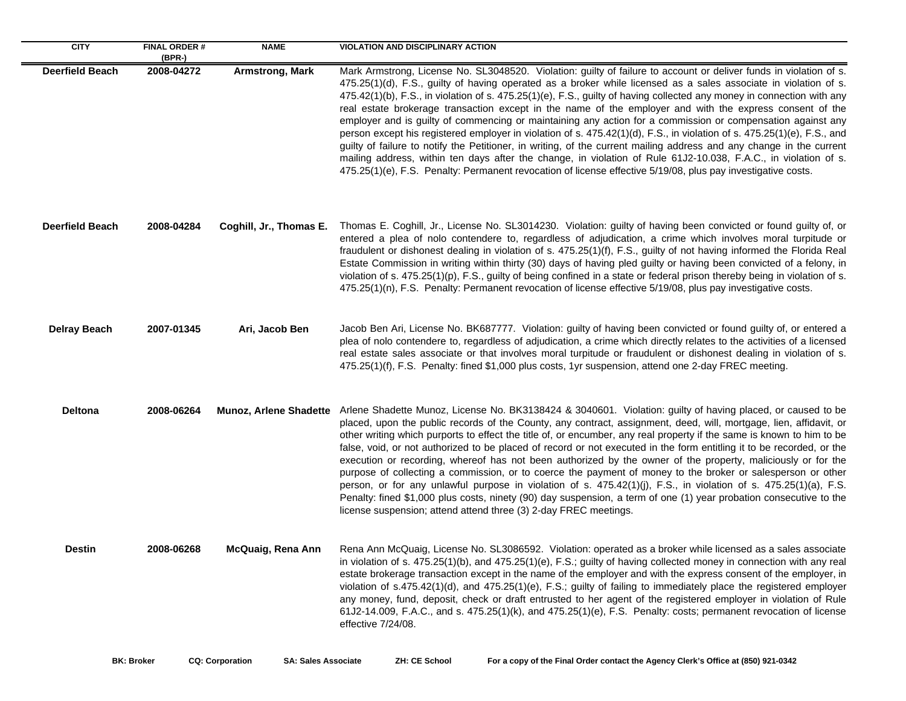| <b>CITY</b>            | <b>FINAL ORDER#</b><br>$(BPR-)$ | <b>NAME</b>             | <b>VIOLATION AND DISCIPLINARY ACTION</b>                                                                                                                                                                                                                                                                                                                                                                                                                                                                                                                                                                                                                                                                                                                                                                                                                                                                                                                                                                                                                                          |
|------------------------|---------------------------------|-------------------------|-----------------------------------------------------------------------------------------------------------------------------------------------------------------------------------------------------------------------------------------------------------------------------------------------------------------------------------------------------------------------------------------------------------------------------------------------------------------------------------------------------------------------------------------------------------------------------------------------------------------------------------------------------------------------------------------------------------------------------------------------------------------------------------------------------------------------------------------------------------------------------------------------------------------------------------------------------------------------------------------------------------------------------------------------------------------------------------|
| <b>Deerfield Beach</b> | 2008-04272                      | <b>Armstrong, Mark</b>  | Mark Armstrong, License No. SL3048520. Violation: guilty of failure to account or deliver funds in violation of s.<br>475.25(1)(d), F.S., guilty of having operated as a broker while licensed as a sales associate in violation of s.<br>475.42(1)(b), F.S., in violation of s. 475.25(1)(e), F.S., guilty of having collected any money in connection with any<br>real estate brokerage transaction except in the name of the employer and with the express consent of the<br>employer and is guilty of commencing or maintaining any action for a commission or compensation against any<br>person except his registered employer in violation of s. 475.42(1)(d), F.S., in violation of s. 475.25(1)(e), F.S., and<br>guilty of failure to notify the Petitioner, in writing, of the current mailing address and any change in the current<br>mailing address, within ten days after the change, in violation of Rule 61J2-10.038, F.A.C., in violation of s.<br>475.25(1)(e), F.S. Penalty: Permanent revocation of license effective 5/19/08, plus pay investigative costs. |
| <b>Deerfield Beach</b> | 2008-04284                      | Coghill, Jr., Thomas E. | Thomas E. Coghill, Jr., License No. SL3014230. Violation: guilty of having been convicted or found guilty of, or<br>entered a plea of nolo contendere to, regardless of adjudication, a crime which involves moral turpitude or<br>fraudulent or dishonest dealing in violation of s. 475.25(1)(f), F.S., guilty of not having informed the Florida Real<br>Estate Commission in writing within thirty (30) days of having pled guilty or having been convicted of a felony, in<br>violation of s. $475.25(1)(p)$ , F.S., guilty of being confined in a state or federal prison thereby being in violation of s.<br>475.25(1)(n), F.S. Penalty: Permanent revocation of license effective 5/19/08, plus pay investigative costs.                                                                                                                                                                                                                                                                                                                                                  |
| <b>Delray Beach</b>    | 2007-01345                      | Ari, Jacob Ben          | Jacob Ben Ari, License No. BK687777. Violation: guilty of having been convicted or found guilty of, or entered a<br>plea of nolo contendere to, regardless of adjudication, a crime which directly relates to the activities of a licensed<br>real estate sales associate or that involves moral turpitude or fraudulent or dishonest dealing in violation of s.<br>475.25(1)(f), F.S. Penalty: fined \$1,000 plus costs, 1yr suspension, attend one 2-day FREC meeting.                                                                                                                                                                                                                                                                                                                                                                                                                                                                                                                                                                                                          |
| <b>Deltona</b>         | 2008-06264                      |                         | Munoz, Arlene Shadette Arlene Shadette Munoz, License No. BK3138424 & 3040601. Violation: guilty of having placed, or caused to be<br>placed, upon the public records of the County, any contract, assignment, deed, will, mortgage, lien, affidavit, or<br>other writing which purports to effect the title of, or encumber, any real property if the same is known to him to be<br>false, void, or not authorized to be placed of record or not executed in the form entitling it to be recorded, or the<br>execution or recording, whereof has not been authorized by the owner of the property, maliciously or for the<br>purpose of collecting a commission, or to coerce the payment of money to the broker or salesperson or other<br>person, or for any unlawful purpose in violation of s. 475.42(1)(j), F.S., in violation of s. 475.25(1)(a), F.S.<br>Penalty: fined \$1,000 plus costs, ninety (90) day suspension, a term of one (1) year probation consecutive to the<br>license suspension; attend attend three (3) 2-day FREC meetings.                           |
| <b>Destin</b>          | 2008-06268                      | McQuaig, Rena Ann       | Rena Ann McQuaig, License No. SL3086592. Violation: operated as a broker while licensed as a sales associate<br>in violation of s. 475.25(1)(b), and 475.25(1)(e), F.S.; guilty of having collected money in connection with any real<br>estate brokerage transaction except in the name of the employer and with the express consent of the employer, in<br>violation of s.475.42(1)(d), and 475.25(1)(e), F.S.; guilty of failing to immediately place the registered employer<br>any money, fund, deposit, check or draft entrusted to her agent of the registered employer in violation of Rule<br>61J2-14.009, F.A.C., and s. $475.25(1)(k)$ , and $475.25(1)(e)$ , F.S. Penalty: costs; permanent revocation of license<br>effective 7/24/08.                                                                                                                                                                                                                                                                                                                               |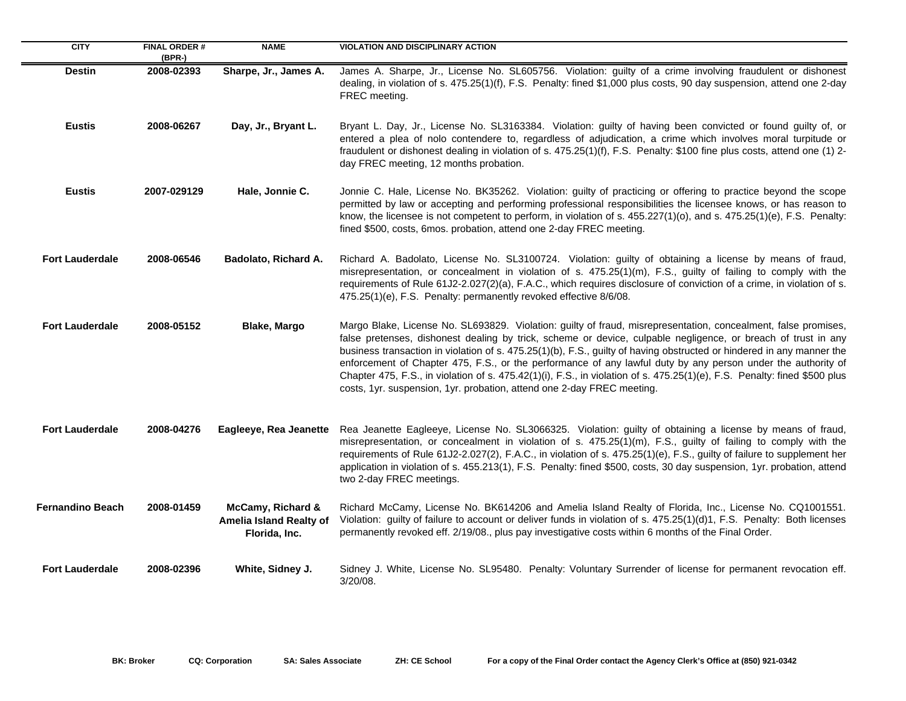| <b>CITY</b>             | <b>FINAL ORDER#</b><br>$(BPR-)$ | <b>NAME</b>                                                   | <b>VIOLATION AND DISCIPLINARY ACTION</b>                                                                                                                                                                                                                                                                                                                                                                                                                                                                                                                                                                                                                                        |
|-------------------------|---------------------------------|---------------------------------------------------------------|---------------------------------------------------------------------------------------------------------------------------------------------------------------------------------------------------------------------------------------------------------------------------------------------------------------------------------------------------------------------------------------------------------------------------------------------------------------------------------------------------------------------------------------------------------------------------------------------------------------------------------------------------------------------------------|
| <b>Destin</b>           | 2008-02393                      | Sharpe, Jr., James A.                                         | James A. Sharpe, Jr., License No. SL605756. Violation: guilty of a crime involving fraudulent or dishonest<br>dealing, in violation of s. 475.25(1)(f), F.S. Penalty: fined \$1,000 plus costs, 90 day suspension, attend one 2-day<br>FREC meeting.                                                                                                                                                                                                                                                                                                                                                                                                                            |
| <b>Eustis</b>           | 2008-06267                      | Day, Jr., Bryant L.                                           | Bryant L. Day, Jr., License No. SL3163384. Violation: guilty of having been convicted or found guilty of, or<br>entered a plea of nolo contendere to, regardless of adjudication, a crime which involves moral turpitude or<br>fraudulent or dishonest dealing in violation of s. 475.25(1)(f), F.S. Penalty: \$100 fine plus costs, attend one (1) 2-<br>day FREC meeting, 12 months probation.                                                                                                                                                                                                                                                                                |
| <b>Eustis</b>           | 2007-029129                     | Hale, Jonnie C.                                               | Jonnie C. Hale, License No. BK35262. Violation: guilty of practicing or offering to practice beyond the scope<br>permitted by law or accepting and performing professional responsibilities the licensee knows, or has reason to<br>know, the licensee is not competent to perform, in violation of s. 455.227(1)(o), and s. 475.25(1)(e), F.S. Penalty:<br>fined \$500, costs, 6mos. probation, attend one 2-day FREC meeting.                                                                                                                                                                                                                                                 |
| <b>Fort Lauderdale</b>  | 2008-06546                      | Badolato, Richard A.                                          | Richard A. Badolato, License No. SL3100724. Violation: guilty of obtaining a license by means of fraud,<br>misrepresentation, or concealment in violation of s. 475.25(1)(m), F.S., guilty of failing to comply with the<br>requirements of Rule 61J2-2.027(2)(a), F.A.C., which requires disclosure of conviction of a crime, in violation of s.<br>475.25(1)(e), F.S. Penalty: permanently revoked effective 8/6/08.                                                                                                                                                                                                                                                          |
| <b>Fort Lauderdale</b>  | 2008-05152                      | <b>Blake, Margo</b>                                           | Margo Blake, License No. SL693829. Violation: guilty of fraud, misrepresentation, concealment, false promises,<br>false pretenses, dishonest dealing by trick, scheme or device, culpable negligence, or breach of trust in any<br>business transaction in violation of s. 475.25(1)(b), F.S., guilty of having obstructed or hindered in any manner the<br>enforcement of Chapter 475, F.S., or the performance of any lawful duty by any person under the authority of<br>Chapter 475, F.S., in violation of s. 475.42(1)(i), F.S., in violation of s. 475.25(1)(e), F.S. Penalty: fined \$500 plus<br>costs, 1yr. suspension, 1yr. probation, attend one 2-day FREC meeting. |
| <b>Fort Lauderdale</b>  | 2008-04276                      | Eagleeye, Rea Jeanette                                        | Rea Jeanette Eagleeye, License No. SL3066325. Violation: guilty of obtaining a license by means of fraud,<br>misrepresentation, or concealment in violation of s. 475.25(1)(m), F.S., guilty of failing to comply with the<br>requirements of Rule 61J2-2.027(2), F.A.C., in violation of s. 475.25(1)(e), F.S., guilty of failure to supplement her<br>application in violation of s. 455.213(1), F.S. Penalty: fined \$500, costs, 30 day suspension, 1yr. probation, attend<br>two 2-day FREC meetings.                                                                                                                                                                      |
| <b>Fernandino Beach</b> | 2008-01459                      | McCamy, Richard &<br>Amelia Island Realty of<br>Florida, Inc. | Richard McCamy, License No. BK614206 and Amelia Island Realty of Florida, Inc., License No. CQ1001551.<br>Violation: guilty of failure to account or deliver funds in violation of s. 475.25(1)(d)1, F.S. Penalty: Both licenses<br>permanently revoked eff. 2/19/08., plus pay investigative costs within 6 months of the Final Order.                                                                                                                                                                                                                                                                                                                                         |
| <b>Fort Lauderdale</b>  | 2008-02396                      | White, Sidney J.                                              | Sidney J. White, License No. SL95480. Penalty: Voluntary Surrender of license for permanent revocation eff.<br>3/20/08.                                                                                                                                                                                                                                                                                                                                                                                                                                                                                                                                                         |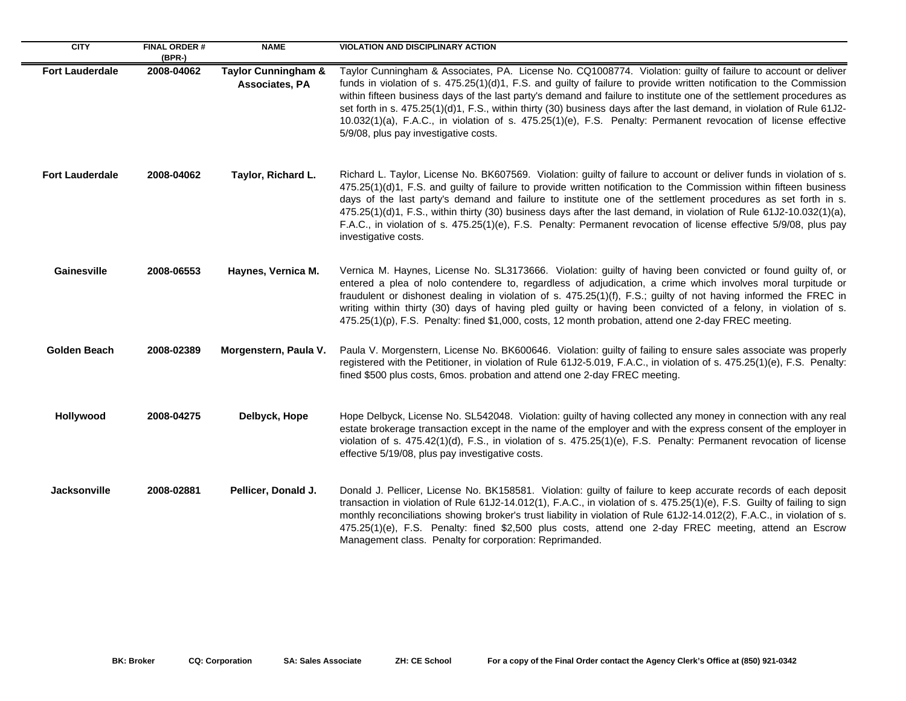| <b>CITY</b>            | <b>FINAL ORDER#</b><br>$(BPR-)$ | <b>NAME</b>                                      | <b>VIOLATION AND DISCIPLINARY ACTION</b>                                                                                                                                                                                                                                                                                                                                                                                                                                                                                                                                                                                                            |
|------------------------|---------------------------------|--------------------------------------------------|-----------------------------------------------------------------------------------------------------------------------------------------------------------------------------------------------------------------------------------------------------------------------------------------------------------------------------------------------------------------------------------------------------------------------------------------------------------------------------------------------------------------------------------------------------------------------------------------------------------------------------------------------------|
| <b>Fort Lauderdale</b> | 2008-04062                      | <b>Taylor Cunningham &amp;</b><br>Associates, PA | Taylor Cunningham & Associates, PA. License No. CQ1008774. Violation: guilty of failure to account or deliver<br>funds in violation of s. 475.25(1)(d)1, F.S. and guilty of failure to provide written notification to the Commission<br>within fifteen business days of the last party's demand and failure to institute one of the settlement procedures as<br>set forth in s. 475.25(1)(d)1, F.S., within thirty (30) business days after the last demand, in violation of Rule 61J2-<br>10.032(1)(a), F.A.C., in violation of s. 475.25(1)(e), F.S. Penalty: Permanent revocation of license effective<br>5/9/08, plus pay investigative costs. |
| <b>Fort Lauderdale</b> | 2008-04062                      | Taylor, Richard L.                               | Richard L. Taylor, License No. BK607569. Violation: guilty of failure to account or deliver funds in violation of s.<br>475.25(1)(d)1, F.S. and guilty of failure to provide written notification to the Commission within fifteen business<br>days of the last party's demand and failure to institute one of the settlement procedures as set forth in s.<br>475.25(1)(d)1, F.S., within thirty (30) business days after the last demand, in violation of Rule 61J2-10.032(1)(a),<br>F.A.C., in violation of s. 475.25(1)(e), F.S. Penalty: Permanent revocation of license effective 5/9/08, plus pay<br>investigative costs.                    |
| Gainesville            | 2008-06553                      | Haynes, Vernica M.                               | Vernica M. Haynes, License No. SL3173666. Violation: guilty of having been convicted or found guilty of, or<br>entered a plea of nolo contendere to, regardless of adjudication, a crime which involves moral turpitude or<br>fraudulent or dishonest dealing in violation of s. 475.25(1)(f), F.S.; guilty of not having informed the FREC in<br>writing within thirty (30) days of having pled guilty or having been convicted of a felony, in violation of s.<br>475.25(1)(p), F.S. Penalty: fined \$1,000, costs, 12 month probation, attend one 2-day FREC meeting.                                                                            |
| <b>Golden Beach</b>    | 2008-02389                      | Morgenstern, Paula V.                            | Paula V. Morgenstern, License No. BK600646. Violation: guilty of failing to ensure sales associate was properly<br>registered with the Petitioner, in violation of Rule 61J2-5.019, F.A.C., in violation of s. 475.25(1)(e), F.S. Penalty:<br>fined \$500 plus costs, 6mos. probation and attend one 2-day FREC meeting.                                                                                                                                                                                                                                                                                                                            |
| Hollywood              | 2008-04275                      | Delbyck, Hope                                    | Hope Delbyck, License No. SL542048. Violation: guilty of having collected any money in connection with any real<br>estate brokerage transaction except in the name of the employer and with the express consent of the employer in<br>violation of s. 475.42(1)(d), F.S., in violation of s. 475.25(1)(e), F.S. Penalty: Permanent revocation of license<br>effective 5/19/08, plus pay investigative costs.                                                                                                                                                                                                                                        |
| Jacksonville           | 2008-02881                      | Pellicer, Donald J.                              | Donald J. Pellicer, License No. BK158581. Violation: guilty of failure to keep accurate records of each deposit<br>transaction in violation of Rule 61J2-14.012(1), F.A.C., in violation of s. 475.25(1)(e), F.S. Guilty of failing to sign<br>monthly reconciliations showing broker's trust liability in violation of Rule 61J2-14.012(2), F.A.C., in violation of s.<br>475.25(1)(e), F.S. Penalty: fined \$2,500 plus costs, attend one 2-day FREC meeting, attend an Escrow<br>Management class. Penalty for corporation: Reprimanded.                                                                                                         |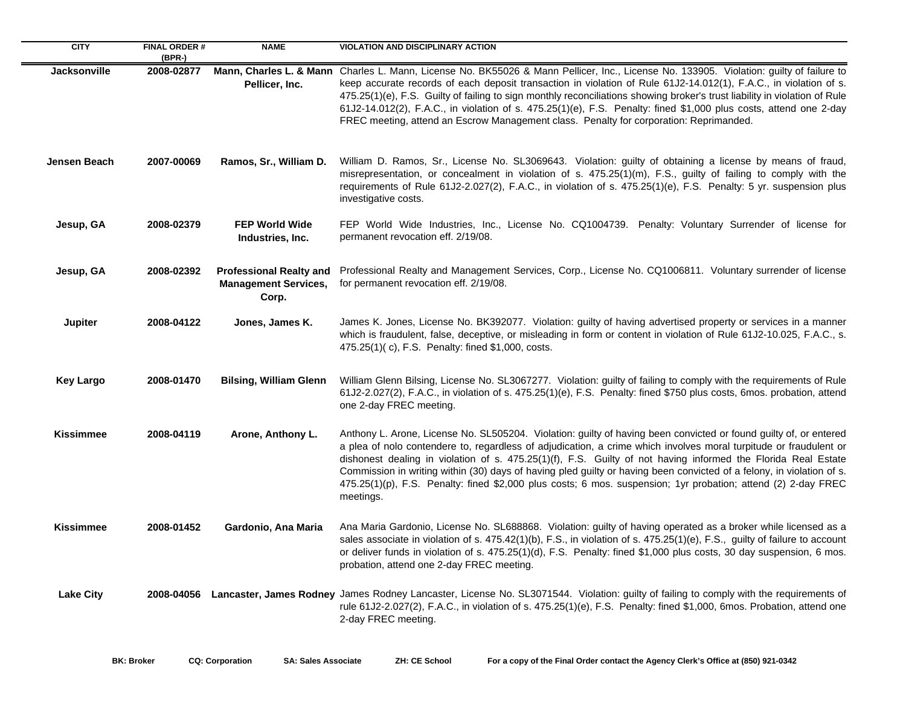| <b>CITY</b>         | <b>FINAL ORDER #</b><br>$(BPR-)$ | <b>NAME</b>                                                            | <b>VIOLATION AND DISCIPLINARY ACTION</b>                                                                                                                                                                                                                                                                                                                                                                                                                                                                                                                                                                       |
|---------------------|----------------------------------|------------------------------------------------------------------------|----------------------------------------------------------------------------------------------------------------------------------------------------------------------------------------------------------------------------------------------------------------------------------------------------------------------------------------------------------------------------------------------------------------------------------------------------------------------------------------------------------------------------------------------------------------------------------------------------------------|
| <b>Jacksonville</b> | 2008-02877                       | Pellicer, Inc.                                                         | Mann, Charles L. & Mann Charles L. Mann, License No. BK55026 & Mann Pellicer, Inc., License No. 133905. Violation: guilty of failure to<br>keep accurate records of each deposit transaction in violation of Rule 61J2-14.012(1), F.A.C., in violation of s.<br>475.25(1)(e), F.S. Guilty of failing to sign monthly reconciliations showing broker's trust liability in violation of Rule<br>61J2-14.012(2), F.A.C., in violation of s. 475.25(1)(e), F.S. Penalty: fined \$1,000 plus costs, attend one 2-day<br>FREC meeting, attend an Escrow Management class. Penalty for corporation: Reprimanded.      |
| Jensen Beach        | 2007-00069                       | Ramos, Sr., William D.                                                 | William D. Ramos, Sr., License No. SL3069643. Violation: guilty of obtaining a license by means of fraud,<br>misrepresentation, or concealment in violation of s. 475.25(1)(m), F.S., guilty of failing to comply with the<br>requirements of Rule 61J2-2.027(2), F.A.C., in violation of s. 475.25(1)(e), F.S. Penalty: 5 yr. suspension plus<br>investigative costs.                                                                                                                                                                                                                                         |
| Jesup, GA           | 2008-02379                       | <b>FEP World Wide</b><br>Industries, Inc.                              | FEP World Wide Industries, Inc., License No. CQ1004739. Penalty: Voluntary Surrender of license for<br>permanent revocation eff. 2/19/08.                                                                                                                                                                                                                                                                                                                                                                                                                                                                      |
| Jesup, GA           | 2008-02392                       | <b>Professional Realty and</b><br><b>Management Services,</b><br>Corp. | Professional Realty and Management Services, Corp., License No. CQ1006811. Voluntary surrender of license<br>for permanent revocation eff. 2/19/08.                                                                                                                                                                                                                                                                                                                                                                                                                                                            |
| Jupiter             | 2008-04122                       | Jones, James K.                                                        | James K. Jones, License No. BK392077. Violation: guilty of having advertised property or services in a manner<br>which is fraudulent, false, deceptive, or misleading in form or content in violation of Rule 61J2-10.025, F.A.C., s.<br>475.25(1)(c), F.S. Penalty: fined \$1,000, costs.                                                                                                                                                                                                                                                                                                                     |
| <b>Key Largo</b>    | 2008-01470                       | <b>Bilsing, William Glenn</b>                                          | William Glenn Bilsing, License No. SL3067277. Violation: guilty of failing to comply with the requirements of Rule<br>61J2-2.027(2), F.A.C., in violation of s. 475.25(1)(e), F.S. Penalty: fined \$750 plus costs, 6mos. probation, attend<br>one 2-day FREC meeting.                                                                                                                                                                                                                                                                                                                                         |
| <b>Kissimmee</b>    | 2008-04119                       | Arone, Anthony L.                                                      | Anthony L. Arone, License No. SL505204. Violation: guilty of having been convicted or found guilty of, or entered<br>a plea of nolo contendere to, regardless of adjudication, a crime which involves moral turpitude or fraudulent or<br>dishonest dealing in violation of s. 475.25(1)(f), F.S. Guilty of not having informed the Florida Real Estate<br>Commission in writing within (30) days of having pled guilty or having been convicted of a felony, in violation of s.<br>475.25(1)(p), F.S. Penalty: fined \$2,000 plus costs; 6 mos. suspension; 1yr probation; attend (2) 2-day FREC<br>meetings. |
| <b>Kissimmee</b>    | 2008-01452                       | Gardonio, Ana Maria                                                    | Ana Maria Gardonio, License No. SL688868. Violation: guilty of having operated as a broker while licensed as a<br>sales associate in violation of s. 475.42(1)(b), F.S., in violation of s. 475.25(1)(e), F.S., guilty of failure to account<br>or deliver funds in violation of s. 475.25(1)(d), F.S. Penalty: fined \$1,000 plus costs, 30 day suspension, 6 mos.<br>probation, attend one 2-day FREC meeting.                                                                                                                                                                                               |
| <b>Lake City</b>    |                                  |                                                                        | 2008-04056 Lancaster, James Rodney James Rodney Lancaster, License No. SL3071544. Violation: guilty of failing to comply with the requirements of<br>rule 61J2-2.027(2), F.A.C., in violation of s. 475.25(1)(e), F.S. Penalty: fined \$1,000, 6mos. Probation, attend one<br>2-day FREC meeting.                                                                                                                                                                                                                                                                                                              |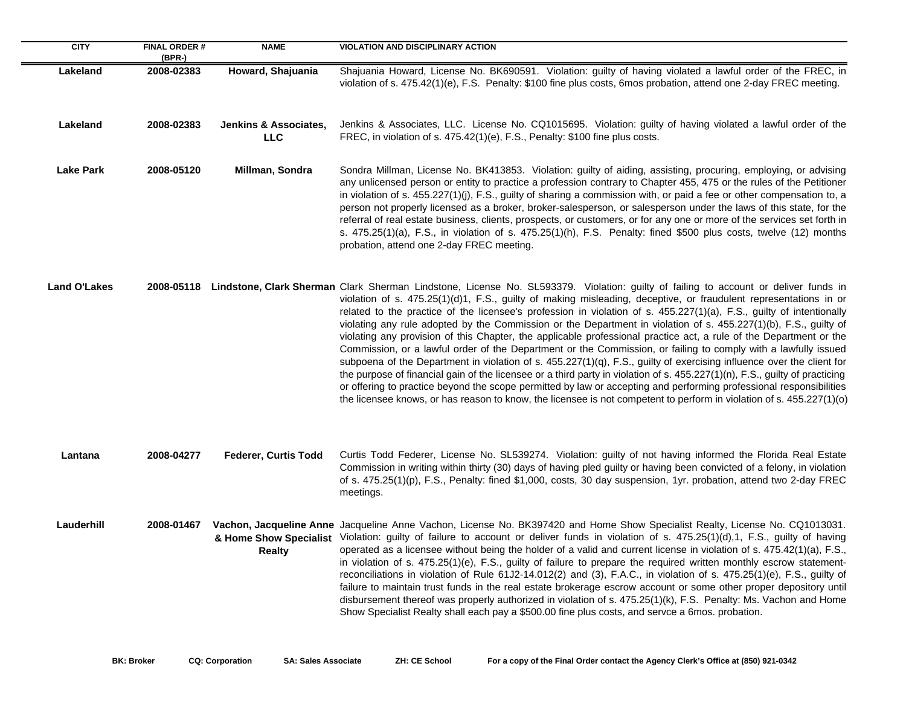| <b>CITY</b>         | <b>FINAL ORDER#</b><br>(BPR-) | <b>NAME</b>                                    | <b>VIOLATION AND DISCIPLINARY ACTION</b>                                                                                                                                                                                                                                                                                                                                                                                                                                                                                                                                                                                                                                                                                                                                                                                                                                                                                                                                                                                                                                                                                                                                                                                                                      |
|---------------------|-------------------------------|------------------------------------------------|---------------------------------------------------------------------------------------------------------------------------------------------------------------------------------------------------------------------------------------------------------------------------------------------------------------------------------------------------------------------------------------------------------------------------------------------------------------------------------------------------------------------------------------------------------------------------------------------------------------------------------------------------------------------------------------------------------------------------------------------------------------------------------------------------------------------------------------------------------------------------------------------------------------------------------------------------------------------------------------------------------------------------------------------------------------------------------------------------------------------------------------------------------------------------------------------------------------------------------------------------------------|
| Lakeland            | 2008-02383                    | Howard, Shajuania                              | Shajuania Howard, License No. BK690591. Violation: guilty of having violated a lawful order of the FREC, in<br>violation of s. 475.42(1)(e), F.S. Penalty: \$100 fine plus costs, 6mos probation, attend one 2-day FREC meeting.                                                                                                                                                                                                                                                                                                                                                                                                                                                                                                                                                                                                                                                                                                                                                                                                                                                                                                                                                                                                                              |
| Lakeland            | 2008-02383                    | <b>Jenkins &amp; Associates,</b><br><b>LLC</b> | Jenkins & Associates, LLC. License No. CQ1015695. Violation: guilty of having violated a lawful order of the<br>FREC, in violation of s. 475.42(1)(e), F.S., Penalty: \$100 fine plus costs.                                                                                                                                                                                                                                                                                                                                                                                                                                                                                                                                                                                                                                                                                                                                                                                                                                                                                                                                                                                                                                                                  |
| <b>Lake Park</b>    | 2008-05120                    | Millman, Sondra                                | Sondra Millman, License No. BK413853. Violation: guilty of aiding, assisting, procuring, employing, or advising<br>any unlicensed person or entity to practice a profession contrary to Chapter 455, 475 or the rules of the Petitioner<br>in violation of s. 455.227(1)(j), F.S., guilty of sharing a commission with, or paid a fee or other compensation to, a<br>person not properly licensed as a broker, broker-salesperson, or salesperson under the laws of this state, for the<br>referral of real estate business, clients, prospects, or customers, or for any one or more of the services set forth in<br>s. 475.25(1)(a), F.S., in violation of s. 475.25(1)(h), F.S. Penalty: fined \$500 plus costs, twelve (12) months<br>probation, attend one 2-day FREC meeting.                                                                                                                                                                                                                                                                                                                                                                                                                                                                           |
| <b>Land O'Lakes</b> |                               |                                                | 2008-05118 Lindstone, Clark Sherman Clark Sherman Lindstone, License No. SL593379. Violation: guilty of failing to account or deliver funds in<br>violation of s. 475.25(1)(d)1, F.S., guilty of making misleading, deceptive, or fraudulent representations in or<br>related to the practice of the licensee's profession in violation of s. 455.227(1)(a), F.S., guilty of intentionally<br>violating any rule adopted by the Commission or the Department in violation of s. 455.227(1)(b), F.S., guilty of<br>violating any provision of this Chapter, the applicable professional practice act, a rule of the Department or the<br>Commission, or a lawful order of the Department or the Commission, or failing to comply with a lawfully issued<br>subpoena of the Department in violation of s. 455.227(1)(q), F.S., guilty of exercising influence over the client for<br>the purpose of financial gain of the licensee or a third party in violation of s. 455.227(1)(n), F.S., guilty of practicing<br>or offering to practice beyond the scope permitted by law or accepting and performing professional responsibilities<br>the licensee knows, or has reason to know, the licensee is not competent to perform in violation of s. 455.227(1)(o) |
| Lantana             | 2008-04277                    | <b>Federer, Curtis Todd</b>                    | Curtis Todd Federer, License No. SL539274. Violation: guilty of not having informed the Florida Real Estate<br>Commission in writing within thirty (30) days of having pled guilty or having been convicted of a felony, in violation<br>of s. 475.25(1)(p), F.S., Penalty: fined \$1,000, costs, 30 day suspension, 1yr. probation, attend two 2-day FREC<br>meetings.                                                                                                                                                                                                                                                                                                                                                                                                                                                                                                                                                                                                                                                                                                                                                                                                                                                                                       |
| Lauderhill          | 2008-01467                    | <b>Realty</b>                                  | Vachon, Jacqueline Anne Jacqueline Anne Vachon, License No. BK397420 and Home Show Specialist Realty, License No. CQ1013031.<br>& Home Show Specialist Violation: guilty of failure to account or deliver funds in violation of s. 475.25(1)(d),1, F.S., guilty of having<br>operated as a licensee without being the holder of a valid and current license in violation of s. 475.42(1)(a), F.S.,<br>in violation of s. 475.25(1)(e), F.S., guilty of failure to prepare the required written monthly escrow statement-<br>reconciliations in violation of Rule 61J2-14.012(2) and (3), F.A.C., in violation of s. 475.25(1)(e), F.S., guilty of<br>failure to maintain trust funds in the real estate brokerage escrow account or some other proper depository until<br>disbursement thereof was properly authorized in violation of s. 475.25(1)(k), F.S. Penalty: Ms. Vachon and Home<br>Show Specialist Realty shall each pay a \$500.00 fine plus costs, and servce a 6mos. probation.                                                                                                                                                                                                                                                                  |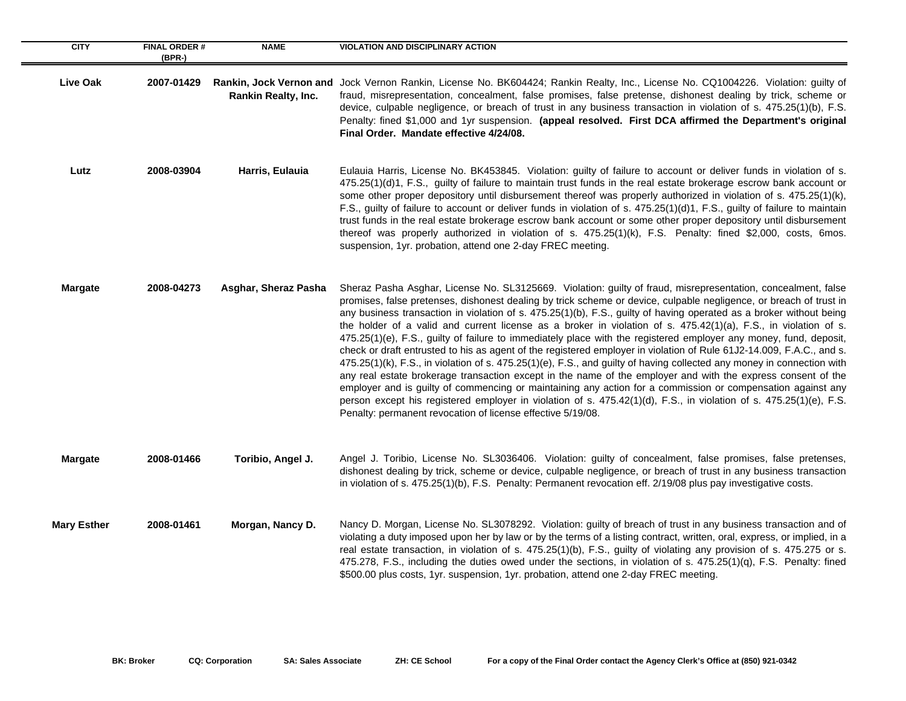| <b>CITY</b>        | <b>FINAL ORDER#</b><br>$(BPR-)$ | <b>NAME</b>          | <b>VIOLATION AND DISCIPLINARY ACTION</b>                                                                                                                                                                                                                                                                                                                                                                                                                                                                                                                                                                                                                                                                                                                                                                                                                                                                                                                                                                                                                                                                                                                                                                                                                                 |
|--------------------|---------------------------------|----------------------|--------------------------------------------------------------------------------------------------------------------------------------------------------------------------------------------------------------------------------------------------------------------------------------------------------------------------------------------------------------------------------------------------------------------------------------------------------------------------------------------------------------------------------------------------------------------------------------------------------------------------------------------------------------------------------------------------------------------------------------------------------------------------------------------------------------------------------------------------------------------------------------------------------------------------------------------------------------------------------------------------------------------------------------------------------------------------------------------------------------------------------------------------------------------------------------------------------------------------------------------------------------------------|
| <b>Live Oak</b>    | 2007-01429                      | Rankin Realty, Inc.  | Rankin, Jock Vernon and Jock Vernon Rankin, License No. BK604424; Rankin Realty, Inc., License No. CQ1004226. Violation: guilty of<br>fraud, misrepresentation, concealment, false promises, false pretense, dishonest dealing by trick, scheme or<br>device, culpable negligence, or breach of trust in any business transaction in violation of s. 475.25(1)(b), F.S.<br>Penalty: fined \$1,000 and 1yr suspension. (appeal resolved. First DCA affirmed the Department's original<br>Final Order. Mandate effective 4/24/08.                                                                                                                                                                                                                                                                                                                                                                                                                                                                                                                                                                                                                                                                                                                                          |
| Lutz               | 2008-03904                      | Harris, Eulauia      | Eulauia Harris, License No. BK453845. Violation: guilty of failure to account or deliver funds in violation of s.<br>475.25(1)(d)1, F.S., guilty of failure to maintain trust funds in the real estate brokerage escrow bank account or<br>some other proper depository until disbursement thereof was properly authorized in violation of s. 475.25(1)(k),<br>F.S., guilty of failure to account or deliver funds in violation of s. 475.25(1)(d)1, F.S., guilty of failure to maintain<br>trust funds in the real estate brokerage escrow bank account or some other proper depository until disbursement<br>thereof was properly authorized in violation of s. 475.25(1)(k), F.S. Penalty: fined \$2,000, costs, 6mos.<br>suspension, 1yr. probation, attend one 2-day FREC meeting.                                                                                                                                                                                                                                                                                                                                                                                                                                                                                  |
| <b>Margate</b>     | 2008-04273                      | Asghar, Sheraz Pasha | Sheraz Pasha Asghar, License No. SL3125669. Violation: guilty of fraud, misrepresentation, concealment, false<br>promises, false pretenses, dishonest dealing by trick scheme or device, culpable negligence, or breach of trust in<br>any business transaction in violation of s. 475.25(1)(b), F.S., guilty of having operated as a broker without being<br>the holder of a valid and current license as a broker in violation of s. 475.42(1)(a), F.S., in violation of s.<br>475.25(1)(e), F.S., guilty of failure to immediately place with the registered employer any money, fund, deposit,<br>check or draft entrusted to his as agent of the registered employer in violation of Rule 61J2-14.009, F.A.C., and s.<br>475.25(1)(k), F.S., in violation of s. 475.25(1)(e), F.S., and guilty of having collected any money in connection with<br>any real estate brokerage transaction except in the name of the employer and with the express consent of the<br>employer and is guilty of commencing or maintaining any action for a commission or compensation against any<br>person except his registered employer in violation of s. 475.42(1)(d), F.S., in violation of s. 475.25(1)(e), F.S.<br>Penalty: permanent revocation of license effective 5/19/08. |
| <b>Margate</b>     | 2008-01466                      | Toribio, Angel J.    | Angel J. Toribio, License No. SL3036406. Violation: guilty of concealment, false promises, false pretenses,<br>dishonest dealing by trick, scheme or device, culpable negligence, or breach of trust in any business transaction<br>in violation of s. 475.25(1)(b), F.S. Penalty: Permanent revocation eff. 2/19/08 plus pay investigative costs.                                                                                                                                                                                                                                                                                                                                                                                                                                                                                                                                                                                                                                                                                                                                                                                                                                                                                                                       |
| <b>Mary Esther</b> | 2008-01461                      | Morgan, Nancy D.     | Nancy D. Morgan, License No. SL3078292. Violation: guilty of breach of trust in any business transaction and of<br>violating a duty imposed upon her by law or by the terms of a listing contract, written, oral, express, or implied, in a<br>real estate transaction, in violation of s. 475.25(1)(b), F.S., guilty of violating any provision of s. 475.275 or s.<br>475.278, F.S., including the duties owed under the sections, in violation of s. 475.25(1)(q), F.S. Penalty: fined<br>\$500.00 plus costs, 1yr. suspension, 1yr. probation, attend one 2-day FREC meeting.                                                                                                                                                                                                                                                                                                                                                                                                                                                                                                                                                                                                                                                                                        |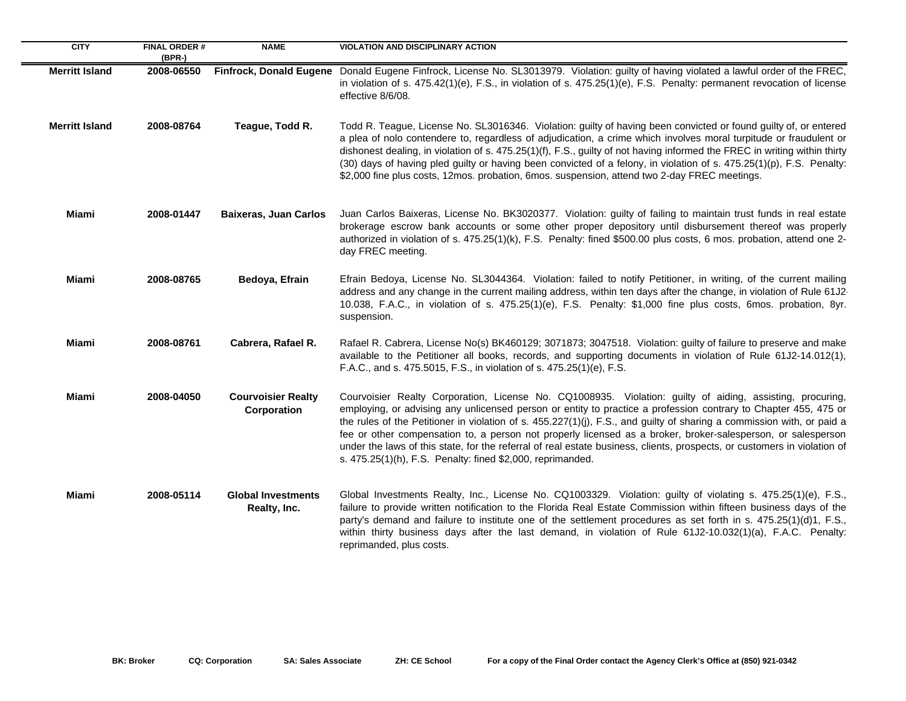| <b>CITY</b>           | <b>FINAL ORDER#</b><br>(BPR-) | <b>NAME</b>                               | <b>VIOLATION AND DISCIPLINARY ACTION</b>                                                                                                                                                                                                                                                                                                                                                                                                                                                                                                                                                                                                                         |
|-----------------------|-------------------------------|-------------------------------------------|------------------------------------------------------------------------------------------------------------------------------------------------------------------------------------------------------------------------------------------------------------------------------------------------------------------------------------------------------------------------------------------------------------------------------------------------------------------------------------------------------------------------------------------------------------------------------------------------------------------------------------------------------------------|
| <b>Merritt Island</b> | 2008-06550                    | <b>Finfrock, Donald Eugene</b>            | Donald Eugene Finfrock, License No. SL3013979. Violation: guilty of having violated a lawful order of the FREC,<br>in violation of s. 475.42(1)(e), F.S., in violation of s. 475.25(1)(e), F.S. Penalty: permanent revocation of license<br>effective 8/6/08.                                                                                                                                                                                                                                                                                                                                                                                                    |
| <b>Merritt Island</b> | 2008-08764                    | Teague, Todd R.                           | Todd R. Teague, License No. SL3016346. Violation: guilty of having been convicted or found guilty of, or entered<br>a plea of nolo contendere to, regardless of adjudication, a crime which involves moral turpitude or fraudulent or<br>dishonest dealing, in violation of s. 475.25(1)(f), F.S., guilty of not having informed the FREC in writing within thirty<br>(30) days of having pled guilty or having been convicted of a felony, in violation of s. 475.25(1)(p), F.S. Penalty:<br>\$2,000 fine plus costs, 12mos. probation, 6mos. suspension, attend two 2-day FREC meetings.                                                                       |
| Miami                 | 2008-01447                    | <b>Baixeras, Juan Carlos</b>              | Juan Carlos Baixeras, License No. BK3020377. Violation: guilty of failing to maintain trust funds in real estate<br>brokerage escrow bank accounts or some other proper depository until disbursement thereof was properly<br>authorized in violation of s. 475.25(1)(k), F.S. Penalty: fined \$500.00 plus costs, 6 mos. probation, attend one 2-<br>day FREC meeting.                                                                                                                                                                                                                                                                                          |
| <b>Miami</b>          | 2008-08765                    | Bedoya, Efrain                            | Efrain Bedoya, License No. SL3044364. Violation: failed to notify Petitioner, in writing, of the current mailing<br>address and any change in the current mailing address, within ten days after the change, in violation of Rule 61J2<br>10.038, F.A.C., in violation of s. 475.25(1)(e), F.S. Penalty: \$1,000 fine plus costs, 6mos. probation, 8yr.<br>suspension.                                                                                                                                                                                                                                                                                           |
| Miami                 | 2008-08761                    | Cabrera, Rafael R.                        | Rafael R. Cabrera, License No(s) BK460129; 3071873; 3047518. Violation: guilty of failure to preserve and make<br>available to the Petitioner all books, records, and supporting documents in violation of Rule 61J2-14.012(1),<br>F.A.C., and s. 475.5015, F.S., in violation of s. 475.25(1)(e), F.S.                                                                                                                                                                                                                                                                                                                                                          |
| Miami                 | 2008-04050                    | <b>Courvoisier Realty</b><br>Corporation  | Courvoisier Realty Corporation, License No. CQ1008935. Violation: guilty of aiding, assisting, procuring,<br>employing, or advising any unlicensed person or entity to practice a profession contrary to Chapter 455, 475 or<br>the rules of the Petitioner in violation of s. 455.227(1)(j), F.S., and guilty of sharing a commission with, or paid a<br>fee or other compensation to, a person not properly licensed as a broker, broker-salesperson, or salesperson<br>under the laws of this state, for the referral of real estate business, clients, prospects, or customers in violation of<br>s. 475.25(1)(h), F.S. Penalty: fined \$2,000, reprimanded. |
| Miami                 | 2008-05114                    | <b>Global Investments</b><br>Realty, Inc. | Global Investments Realty, Inc., License No. CQ1003329. Violation: guilty of violating s. 475.25(1)(e), F.S.,<br>failure to provide written notification to the Florida Real Estate Commission within fifteen business days of the<br>party's demand and failure to institute one of the settlement procedures as set forth in s. 475.25(1)(d)1, F.S.,<br>within thirty business days after the last demand, in violation of Rule 61J2-10.032(1)(a), F.A.C. Penalty:<br>reprimanded, plus costs.                                                                                                                                                                 |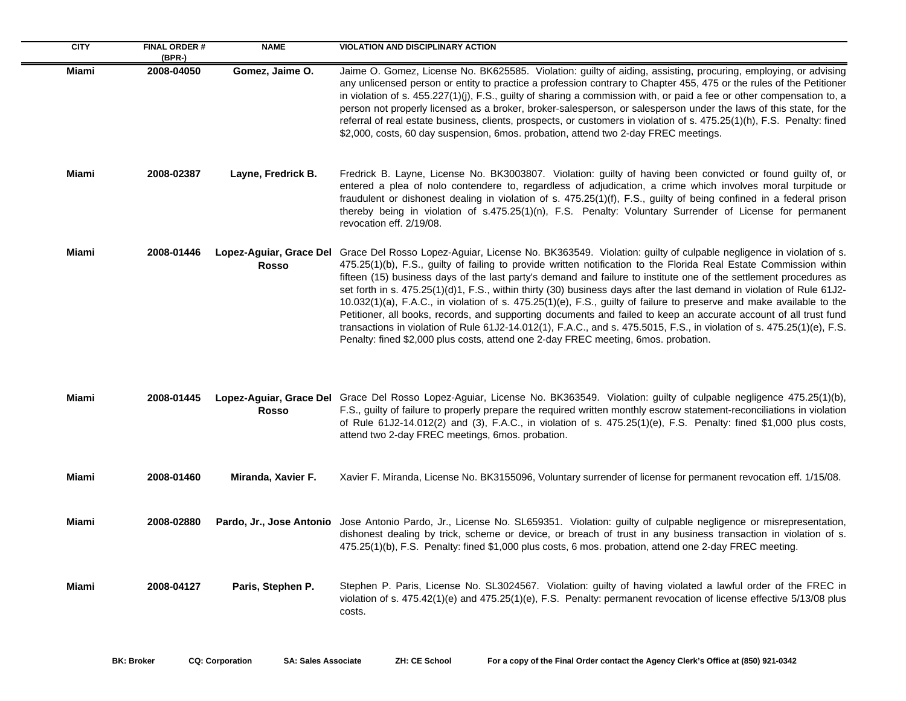| <b>CITY</b>  | <b>FINAL ORDER#</b><br>(BPR-) | <b>NAME</b>        | <b>VIOLATION AND DISCIPLINARY ACTION</b>                                                                                                                                                                                                                                                                                                                                                                                                                                                                                                                                                                                                                                                                                                                                                                                                                                                                                                                                   |
|--------------|-------------------------------|--------------------|----------------------------------------------------------------------------------------------------------------------------------------------------------------------------------------------------------------------------------------------------------------------------------------------------------------------------------------------------------------------------------------------------------------------------------------------------------------------------------------------------------------------------------------------------------------------------------------------------------------------------------------------------------------------------------------------------------------------------------------------------------------------------------------------------------------------------------------------------------------------------------------------------------------------------------------------------------------------------|
| Miami        | 2008-04050                    | Gomez, Jaime O.    | Jaime O. Gomez, License No. BK625585. Violation: guilty of aiding, assisting, procuring, employing, or advising<br>any unlicensed person or entity to practice a profession contrary to Chapter 455, 475 or the rules of the Petitioner<br>in violation of s. 455.227(1)(j), F.S., guilty of sharing a commission with, or paid a fee or other compensation to, a<br>person not properly licensed as a broker, broker-salesperson, or salesperson under the laws of this state, for the<br>referral of real estate business, clients, prospects, or customers in violation of s. 475.25(1)(h), F.S. Penalty: fined<br>\$2,000, costs, 60 day suspension, 6mos. probation, attend two 2-day FREC meetings.                                                                                                                                                                                                                                                                  |
| Miami        | 2008-02387                    | Layne, Fredrick B. | Fredrick B. Layne, License No. BK3003807. Violation: guilty of having been convicted or found guilty of, or<br>entered a plea of nolo contendere to, regardless of adjudication, a crime which involves moral turpitude or<br>fraudulent or dishonest dealing in violation of s. 475.25(1)(f), F.S., guilty of being confined in a federal prison<br>thereby being in violation of s.475.25(1)(n), F.S. Penalty: Voluntary Surrender of License for permanent<br>revocation eff. 2/19/08.                                                                                                                                                                                                                                                                                                                                                                                                                                                                                  |
| Miami        | 2008-01446                    | <b>Rosso</b>       | Lopez-Aguiar, Grace Del Grace Del Rosso Lopez-Aguiar, License No. BK363549. Violation: guilty of culpable negligence in violation of s.<br>475.25(1)(b), F.S., guilty of failing to provide written notification to the Florida Real Estate Commission within<br>fifteen (15) business days of the last party's demand and failure to institute one of the settlement procedures as<br>set forth in s. 475.25(1)(d)1, F.S., within thirty (30) business days after the last demand in violation of Rule 61J2-<br>10.032(1)(a), F.A.C., in violation of s. 475.25(1)(e), F.S., guilty of failure to preserve and make available to the<br>Petitioner, all books, records, and supporting documents and failed to keep an accurate account of all trust fund<br>transactions in violation of Rule 61J2-14.012(1), F.A.C., and s. 475.5015, F.S., in violation of s. 475.25(1)(e), F.S.<br>Penalty: fined \$2,000 plus costs, attend one 2-day FREC meeting, 6mos. probation. |
| <b>Miami</b> | 2008-01445                    | <b>Rosso</b>       | Lopez-Aguiar, Grace Del Grace Del Rosso Lopez-Aguiar, License No. BK363549. Violation: guilty of culpable negligence 475.25(1)(b),<br>F.S., guilty of failure to properly prepare the required written monthly escrow statement-reconciliations in violation<br>of Rule 61J2-14.012(2) and (3), F.A.C., in violation of s. 475.25(1)(e), F.S. Penalty: fined \$1,000 plus costs,<br>attend two 2-day FREC meetings, 6mos. probation.                                                                                                                                                                                                                                                                                                                                                                                                                                                                                                                                       |
| Miami        | 2008-01460                    | Miranda, Xavier F. | Xavier F. Miranda, License No. BK3155096, Voluntary surrender of license for permanent revocation eff. 1/15/08.                                                                                                                                                                                                                                                                                                                                                                                                                                                                                                                                                                                                                                                                                                                                                                                                                                                            |
| <b>Miami</b> | 2008-02880                    |                    | Pardo, Jr., Jose Antonio Jose Antonio Pardo, Jr., License No. SL659351. Violation: guilty of culpable negligence or misrepresentation,<br>dishonest dealing by trick, scheme or device, or breach of trust in any business transaction in violation of s.<br>475.25(1)(b), F.S. Penalty: fined \$1,000 plus costs, 6 mos. probation, attend one 2-day FREC meeting.                                                                                                                                                                                                                                                                                                                                                                                                                                                                                                                                                                                                        |
| Miami        | 2008-04127                    | Paris, Stephen P.  | Stephen P. Paris, License No. SL3024567. Violation: guilty of having violated a lawful order of the FREC in<br>violation of s. 475.42(1)(e) and 475.25(1)(e), F.S. Penalty: permanent revocation of license effective 5/13/08 plus<br>costs.                                                                                                                                                                                                                                                                                                                                                                                                                                                                                                                                                                                                                                                                                                                               |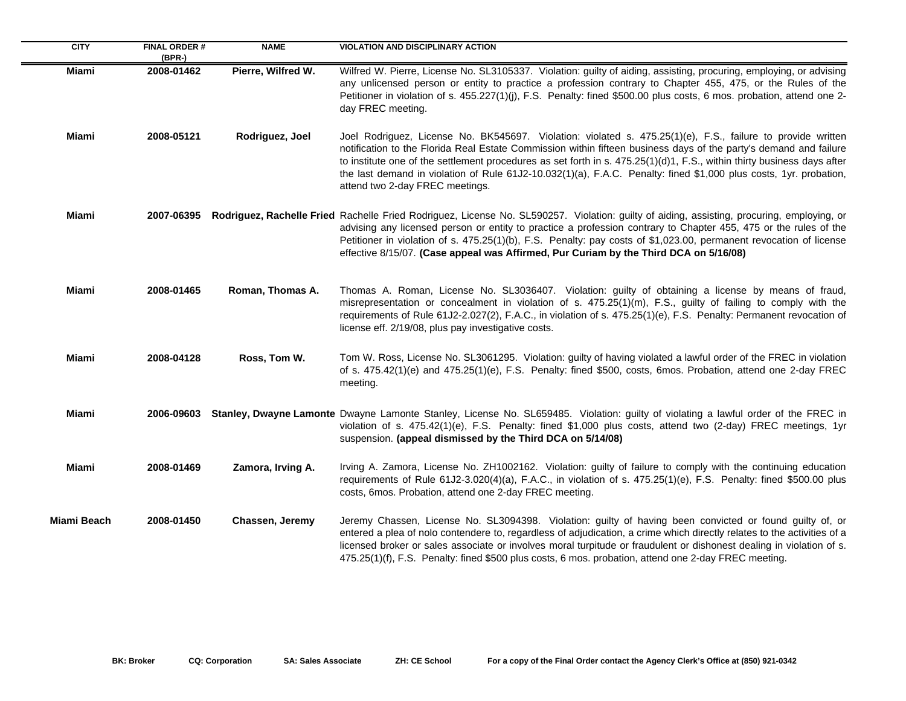| <b>CITY</b> | <b>FINAL ORDER #</b><br>$(BPR-)$ | <b>NAME</b>        | <b>VIOLATION AND DISCIPLINARY ACTION</b>                                                                                                                                                                                                                                                                                                                                                                                                                                                                               |
|-------------|----------------------------------|--------------------|------------------------------------------------------------------------------------------------------------------------------------------------------------------------------------------------------------------------------------------------------------------------------------------------------------------------------------------------------------------------------------------------------------------------------------------------------------------------------------------------------------------------|
| Miami       | 2008-01462                       | Pierre, Wilfred W. | Wilfred W. Pierre, License No. SL3105337. Violation: guilty of aiding, assisting, procuring, employing, or advising<br>any unlicensed person or entity to practice a profession contrary to Chapter 455, 475, or the Rules of the<br>Petitioner in violation of s. 455.227(1)(j), F.S. Penalty: fined \$500.00 plus costs, 6 mos. probation, attend one 2-<br>day FREC meeting.                                                                                                                                        |
| Miami       | 2008-05121                       | Rodriguez, Joel    | Joel Rodriguez, License No. BK545697. Violation: violated s. 475.25(1)(e), F.S., failure to provide written<br>notification to the Florida Real Estate Commission within fifteen business days of the party's demand and failure<br>to institute one of the settlement procedures as set forth in s. $475.25(1)(d)1$ , F.S., within thirty business days after<br>the last demand in violation of Rule 61J2-10.032(1)(a), F.A.C. Penalty: fined \$1,000 plus costs, 1yr. probation,<br>attend two 2-day FREC meetings. |
| Miami       |                                  |                    | 2007-06395 Rodriguez, Rachelle Fried Rachelle Fried Rodriguez, License No. SL590257. Violation: guilty of aiding, assisting, procuring, employing, or<br>advising any licensed person or entity to practice a profession contrary to Chapter 455, 475 or the rules of the<br>Petitioner in violation of s. 475.25(1)(b), F.S. Penalty: pay costs of \$1,023.00, permanent revocation of license<br>effective 8/15/07. (Case appeal was Affirmed, Pur Curiam by the Third DCA on 5/16/08)                               |
| Miami       | 2008-01465                       | Roman, Thomas A.   | Thomas A. Roman, License No. SL3036407. Violation: guilty of obtaining a license by means of fraud,<br>misrepresentation or concealment in violation of s. 475.25(1)(m), F.S., guilty of failing to comply with the<br>requirements of Rule 61J2-2.027(2), F.A.C., in violation of s. 475.25(1)(e), F.S. Penalty: Permanent revocation of<br>license eff. 2/19/08, plus pay investigative costs.                                                                                                                       |
| Miami       | 2008-04128                       | Ross, Tom W.       | Tom W. Ross, License No. SL3061295. Violation: guilty of having violated a lawful order of the FREC in violation<br>of s. 475.42(1)(e) and 475.25(1)(e), F.S. Penalty: fined \$500, costs, 6mos. Probation, attend one 2-day FREC<br>meeting.                                                                                                                                                                                                                                                                          |
| Miami       |                                  |                    | 2006-09603 Stanley, Dwayne Lamonte Dwayne Lamonte Stanley, License No. SL659485. Violation: guilty of violating a lawful order of the FREC in<br>violation of s. 475.42(1)(e), F.S. Penalty: fined \$1,000 plus costs, attend two (2-day) FREC meetings, 1yr<br>suspension. (appeal dismissed by the Third DCA on 5/14/08)                                                                                                                                                                                             |
| Miami       | 2008-01469                       | Zamora, Irving A.  | Irving A. Zamora, License No. ZH1002162. Violation: guilty of failure to comply with the continuing education<br>requirements of Rule 61J2-3.020(4)(a), F.A.C., in violation of s. 475.25(1)(e), F.S. Penalty: fined \$500.00 plus<br>costs, 6mos. Probation, attend one 2-day FREC meeting.                                                                                                                                                                                                                           |
| Miami Beach | 2008-01450                       | Chassen, Jeremy    | Jeremy Chassen, License No. SL3094398. Violation: guilty of having been convicted or found guilty of, or<br>entered a plea of nolo contendere to, regardless of adjudication, a crime which directly relates to the activities of a<br>licensed broker or sales associate or involves moral turpitude or fraudulent or dishonest dealing in violation of s.<br>475.25(1)(f), F.S. Penalty: fined \$500 plus costs, 6 mos. probation, attend one 2-day FREC meeting.                                                    |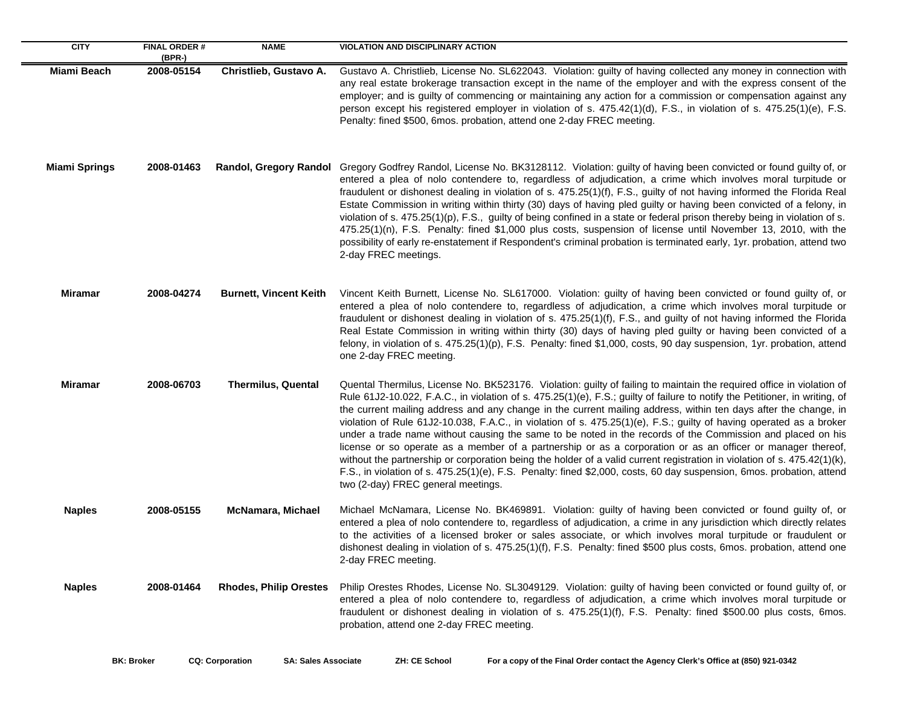| <b>CITY</b>          | <b>FINAL ORDER#</b><br>$(BPR-)$ | <b>NAME</b>                   | <b>VIOLATION AND DISCIPLINARY ACTION</b>                                                                                                                                                                                                                                                                                                                                                                                                                                                                                                                                                                                                                                                                                                                                                                                                                                                                                                                                                                               |
|----------------------|---------------------------------|-------------------------------|------------------------------------------------------------------------------------------------------------------------------------------------------------------------------------------------------------------------------------------------------------------------------------------------------------------------------------------------------------------------------------------------------------------------------------------------------------------------------------------------------------------------------------------------------------------------------------------------------------------------------------------------------------------------------------------------------------------------------------------------------------------------------------------------------------------------------------------------------------------------------------------------------------------------------------------------------------------------------------------------------------------------|
| Miami Beach          | 2008-05154                      | Christlieb, Gustavo A.        | Gustavo A. Christlieb, License No. SL622043. Violation: guilty of having collected any money in connection with<br>any real estate brokerage transaction except in the name of the employer and with the express consent of the<br>employer; and is guilty of commencing or maintaining any action for a commission or compensation against any<br>person except his registered employer in violation of s. 475.42(1)(d), F.S., in violation of s. 475.25(1)(e), F.S.<br>Penalty: fined \$500, 6mos. probation, attend one 2-day FREC meeting.                                                                                                                                                                                                                                                                                                                                                                                                                                                                         |
| <b>Miami Springs</b> | 2008-01463                      | <b>Randol, Gregory Randol</b> | Gregory Godfrey Randol, License No. BK3128112. Violation: guilty of having been convicted or found guilty of, or<br>entered a plea of nolo contendere to, regardless of adjudication, a crime which involves moral turpitude or<br>fraudulent or dishonest dealing in violation of s. 475.25(1)(f), F.S., guilty of not having informed the Florida Real<br>Estate Commission in writing within thirty (30) days of having pled guilty or having been convicted of a felony, in<br>violation of s. 475.25(1)(p), F.S., guilty of being confined in a state or federal prison thereby being in violation of s.<br>475.25(1)(n), F.S. Penalty: fined \$1,000 plus costs, suspension of license until November 13, 2010, with the<br>possibility of early re-enstatement if Respondent's criminal probation is terminated early, 1yr. probation, attend two<br>2-day FREC meetings.                                                                                                                                       |
| Miramar              | 2008-04274                      | <b>Burnett, Vincent Keith</b> | Vincent Keith Burnett, License No. SL617000. Violation: guilty of having been convicted or found guilty of, or<br>entered a plea of nolo contendere to, regardless of adjudication, a crime which involves moral turpitude or<br>fraudulent or dishonest dealing in violation of s. 475.25(1)(f), F.S., and guilty of not having informed the Florida<br>Real Estate Commission in writing within thirty (30) days of having pled guilty or having been convicted of a<br>felony, in violation of s. 475.25(1)(p), F.S. Penalty: fined \$1,000, costs, 90 day suspension, 1yr. probation, attend<br>one 2-day FREC meeting.                                                                                                                                                                                                                                                                                                                                                                                            |
| <b>Miramar</b>       | 2008-06703                      | <b>Thermilus, Quental</b>     | Quental Thermilus, License No. BK523176. Violation: guilty of failing to maintain the required office in violation of<br>Rule 61J2-10.022, F.A.C., in violation of s. 475.25(1)(e), F.S.; guilty of failure to notify the Petitioner, in writing, of<br>the current mailing address and any change in the current mailing address, within ten days after the change, in<br>violation of Rule 61J2-10.038, F.A.C., in violation of s. 475.25(1)(e), F.S.; guilty of having operated as a broker<br>under a trade name without causing the same to be noted in the records of the Commission and placed on his<br>license or so operate as a member of a partnership or as a corporation or as an officer or manager thereof,<br>without the partnership or corporation being the holder of a valid current registration in violation of s. 475.42(1)(k),<br>F.S., in violation of s. 475.25(1)(e), F.S. Penalty: fined \$2,000, costs, 60 day suspension, 6mos. probation, attend<br>two (2-day) FREC general meetings. |
| <b>Naples</b>        | 2008-05155                      | <b>McNamara, Michael</b>      | Michael McNamara, License No. BK469891. Violation: guilty of having been convicted or found guilty of, or<br>entered a plea of nolo contendere to, regardless of adjudication, a crime in any jurisdiction which directly relates<br>to the activities of a licensed broker or sales associate, or which involves moral turpitude or fraudulent or<br>dishonest dealing in violation of s. 475.25(1)(f), F.S. Penalty: fined \$500 plus costs, 6mos. probation, attend one<br>2-day FREC meeting.                                                                                                                                                                                                                                                                                                                                                                                                                                                                                                                      |
| <b>Naples</b>        | 2008-01464                      | <b>Rhodes, Philip Orestes</b> | Philip Orestes Rhodes, License No. SL3049129. Violation: guilty of having been convicted or found guilty of, or<br>entered a plea of nolo contendere to, regardless of adjudication, a crime which involves moral turpitude or<br>fraudulent or dishonest dealing in violation of s. 475.25(1)(f), F.S. Penalty: fined \$500.00 plus costs, 6mos.<br>probation, attend one 2-day FREC meeting.                                                                                                                                                                                                                                                                                                                                                                                                                                                                                                                                                                                                                         |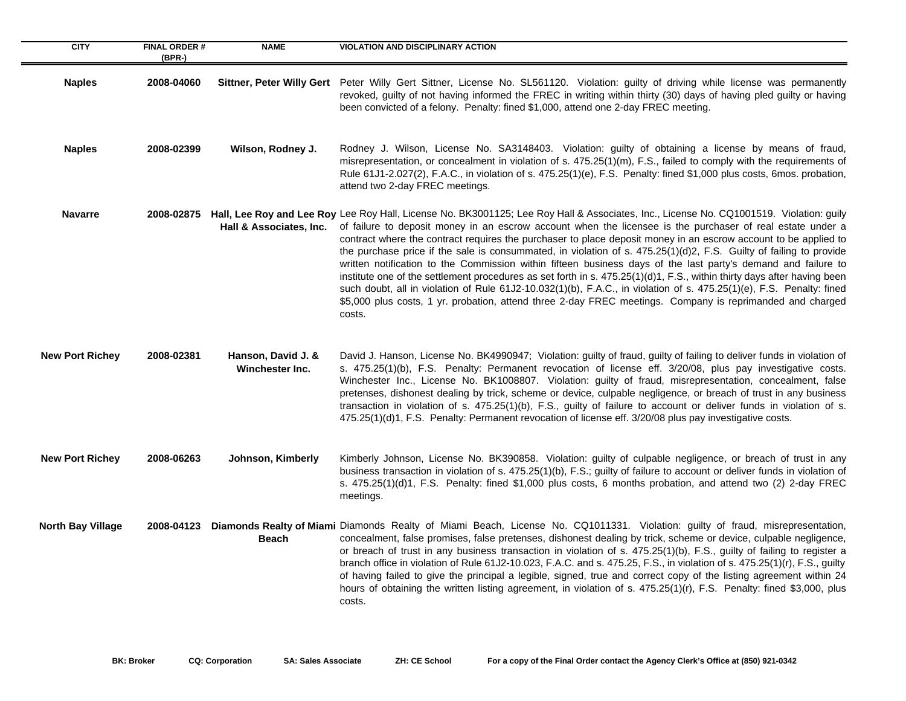| <b>CITY</b>              | <b>FINAL ORDER#</b><br>$(BPR-)$ | <b>NAME</b>                                  | <b>VIOLATION AND DISCIPLINARY ACTION</b>                                                                                                                                                                                                                                                                                                                                                                                                                                                                                                                                                                                                                                                                                                                                                                                                                                                                                                                                                             |
|--------------------------|---------------------------------|----------------------------------------------|------------------------------------------------------------------------------------------------------------------------------------------------------------------------------------------------------------------------------------------------------------------------------------------------------------------------------------------------------------------------------------------------------------------------------------------------------------------------------------------------------------------------------------------------------------------------------------------------------------------------------------------------------------------------------------------------------------------------------------------------------------------------------------------------------------------------------------------------------------------------------------------------------------------------------------------------------------------------------------------------------|
| <b>Naples</b>            | 2008-04060                      | <b>Sittner, Peter Willy Gert</b>             | Peter Willy Gert Sittner, License No. SL561120. Violation: guilty of driving while license was permanently<br>revoked, guilty of not having informed the FREC in writing within thirty (30) days of having pled guilty or having<br>been convicted of a felony. Penalty: fined \$1,000, attend one 2-day FREC meeting.                                                                                                                                                                                                                                                                                                                                                                                                                                                                                                                                                                                                                                                                               |
| <b>Naples</b>            | 2008-02399                      | Wilson, Rodney J.                            | Rodney J. Wilson, License No. SA3148403. Violation: guilty of obtaining a license by means of fraud,<br>misrepresentation, or concealment in violation of s. 475.25(1)(m), F.S., failed to comply with the requirements of<br>Rule 61J1-2.027(2), F.A.C., in violation of s. 475.25(1)(e), F.S. Penalty: fined \$1,000 plus costs, 6mos. probation,<br>attend two 2-day FREC meetings.                                                                                                                                                                                                                                                                                                                                                                                                                                                                                                                                                                                                               |
| <b>Navarre</b>           |                                 | Hall & Associates, Inc.                      | 2008-02875 Hall, Lee Roy and Lee Roy Lee Roy Hall, License No. BK3001125; Lee Roy Hall & Associates, Inc., License No. CQ1001519. Violation: guily<br>of failure to deposit money in an escrow account when the licensee is the purchaser of real estate under a<br>contract where the contract requires the purchaser to place deposit money in an escrow account to be applied to<br>the purchase price if the sale is consummated, in violation of s. 475.25(1)(d)2, F.S. Guilty of failing to provide<br>written notification to the Commission within fifteen business days of the last party's demand and failure to<br>institute one of the settlement procedures as set forth in s. 475.25(1)(d)1, F.S., within thirty days after having been<br>such doubt, all in violation of Rule 61J2-10.032(1)(b), F.A.C., in violation of s. 475.25(1)(e), F.S. Penalty: fined<br>\$5,000 plus costs, 1 yr. probation, attend three 2-day FREC meetings. Company is reprimanded and charged<br>costs. |
| <b>New Port Richey</b>   | 2008-02381                      | Hanson, David J. &<br><b>Winchester Inc.</b> | David J. Hanson, License No. BK4990947; Violation: guilty of fraud, guilty of failing to deliver funds in violation of<br>s. 475.25(1)(b), F.S. Penalty: Permanent revocation of license eff. 3/20/08, plus pay investigative costs.<br>Winchester Inc., License No. BK1008807. Violation: guilty of fraud, misrepresentation, concealment, false<br>pretenses, dishonest dealing by trick, scheme or device, culpable negligence, or breach of trust in any business<br>transaction in violation of s. 475.25(1)(b), F.S., guilty of failure to account or deliver funds in violation of s.<br>475.25(1)(d)1, F.S. Penalty: Permanent revocation of license eff. 3/20/08 plus pay investigative costs.                                                                                                                                                                                                                                                                                              |
| <b>New Port Richey</b>   | 2008-06263                      | Johnson, Kimberly                            | Kimberly Johnson, License No. BK390858. Violation: guilty of culpable negligence, or breach of trust in any<br>business transaction in violation of s. 475.25(1)(b), F.S.; guilty of failure to account or deliver funds in violation of<br>s. 475.25(1)(d)1, F.S. Penalty: fined \$1,000 plus costs, 6 months probation, and attend two (2) 2-day FREC<br>meetings.                                                                                                                                                                                                                                                                                                                                                                                                                                                                                                                                                                                                                                 |
| <b>North Bay Village</b> |                                 | <b>Beach</b>                                 | 2008-04123 Diamonds Realty of Miami Diamonds Realty of Miami Beach, License No. CQ1011331. Violation: guilty of fraud, misrepresentation,<br>concealment, false promises, false pretenses, dishonest dealing by trick, scheme or device, culpable negligence,<br>or breach of trust in any business transaction in violation of s. 475.25(1)(b), F.S., guilty of failing to register a<br>branch office in violation of Rule 61J2-10.023, F.A.C. and s. 475.25, F.S., in violation of s. 475.25(1)(r), F.S., guilty<br>of having failed to give the principal a legible, signed, true and correct copy of the listing agreement within 24<br>hours of obtaining the written listing agreement, in violation of s. 475.25(1)(r), F.S. Penalty: fined \$3,000, plus<br>costs.                                                                                                                                                                                                                          |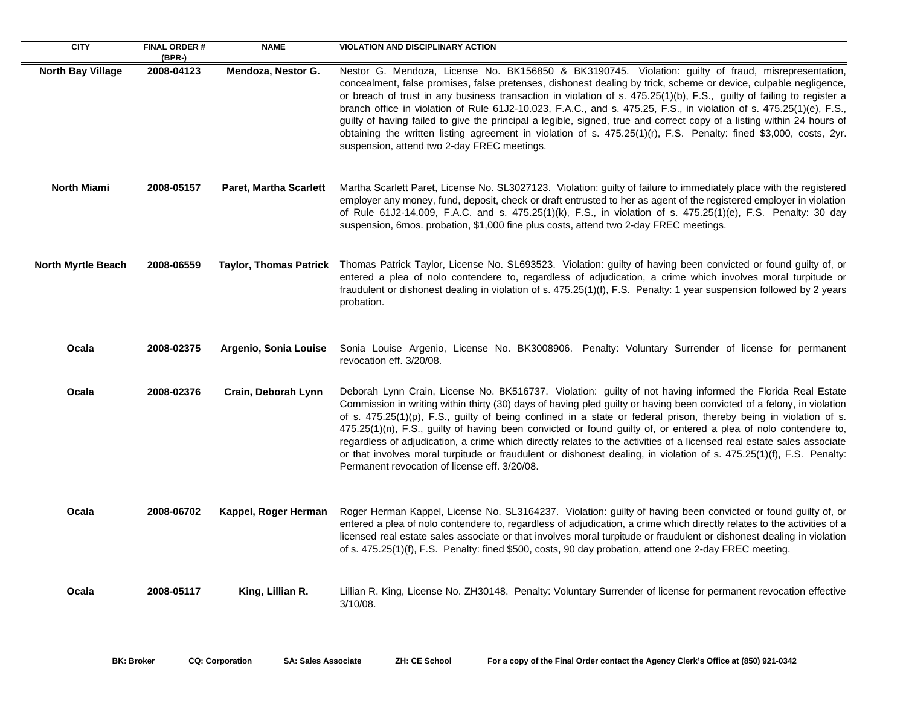| <b>CITY</b>               | <b>FINAL ORDER#</b><br>(BPR-) | <b>NAME</b>                   | <b>VIOLATION AND DISCIPLINARY ACTION</b>                                                                                                                                                                                                                                                                                                                                                                                                                                                                                                                                                                                                                                                                                                                                        |
|---------------------------|-------------------------------|-------------------------------|---------------------------------------------------------------------------------------------------------------------------------------------------------------------------------------------------------------------------------------------------------------------------------------------------------------------------------------------------------------------------------------------------------------------------------------------------------------------------------------------------------------------------------------------------------------------------------------------------------------------------------------------------------------------------------------------------------------------------------------------------------------------------------|
| <b>North Bay Village</b>  | 2008-04123                    | Mendoza, Nestor G.            | Nestor G. Mendoza, License No. BK156850 & BK3190745. Violation: guilty of fraud, misrepresentation,<br>concealment, false promises, false pretenses, dishonest dealing by trick, scheme or device, culpable negligence,<br>or breach of trust in any business transaction in violation of s. 475.25(1)(b), F.S., guilty of failing to register a<br>branch office in violation of Rule 61J2-10.023, F.A.C., and s. 475.25, F.S., in violation of s. 475.25(1)(e), F.S.,<br>guilty of having failed to give the principal a legible, signed, true and correct copy of a listing within 24 hours of<br>obtaining the written listing agreement in violation of s. 475.25(1)(r), F.S. Penalty: fined \$3,000, costs, 2yr.<br>suspension, attend two 2-day FREC meetings.           |
| <b>North Miami</b>        | 2008-05157                    | <b>Paret, Martha Scarlett</b> | Martha Scarlett Paret, License No. SL3027123. Violation: guilty of failure to immediately place with the registered<br>employer any money, fund, deposit, check or draft entrusted to her as agent of the registered employer in violation<br>of Rule 61J2-14.009, F.A.C. and s. 475.25(1)(k), F.S., in violation of s. 475.25(1)(e), F.S. Penalty: 30 day<br>suspension, 6mos. probation, \$1,000 fine plus costs, attend two 2-day FREC meetings.                                                                                                                                                                                                                                                                                                                             |
| <b>North Myrtle Beach</b> | 2008-06559                    |                               | Taylor, Thomas Patrick Thomas Patrick Taylor, License No. SL693523. Violation: guilty of having been convicted or found guilty of, or<br>entered a plea of nolo contendere to, regardless of adjudication, a crime which involves moral turpitude or<br>fraudulent or dishonest dealing in violation of s. 475.25(1)(f), F.S. Penalty: 1 year suspension followed by 2 years<br>probation.                                                                                                                                                                                                                                                                                                                                                                                      |
| Ocala                     | 2008-02375                    | Argenio, Sonia Louise         | Sonia Louise Argenio, License No. BK3008906. Penalty: Voluntary Surrender of license for permanent<br>revocation eff. 3/20/08.                                                                                                                                                                                                                                                                                                                                                                                                                                                                                                                                                                                                                                                  |
| Ocala                     | 2008-02376                    | Crain, Deborah Lynn           | Deborah Lynn Crain, License No. BK516737. Violation: guilty of not having informed the Florida Real Estate<br>Commission in writing within thirty (30) days of having pled guilty or having been convicted of a felony, in violation<br>of s. 475.25(1)(p), F.S., guilty of being confined in a state or federal prison, thereby being in violation of s.<br>475.25(1)(n), F.S., guilty of having been convicted or found guilty of, or entered a plea of nolo contendere to,<br>regardless of adjudication, a crime which directly relates to the activities of a licensed real estate sales associate<br>or that involves moral turpitude or fraudulent or dishonest dealing, in violation of s. 475.25(1)(f), F.S. Penalty:<br>Permanent revocation of license eff. 3/20/08. |
| Ocala                     | 2008-06702                    | Kappel, Roger Herman          | Roger Herman Kappel, License No. SL3164237. Violation: guilty of having been convicted or found guilty of, or<br>entered a plea of nolo contendere to, regardless of adjudication, a crime which directly relates to the activities of a<br>licensed real estate sales associate or that involves moral turpitude or fraudulent or dishonest dealing in violation<br>of s. 475.25(1)(f), F.S. Penalty: fined \$500, costs, 90 day probation, attend one 2-day FREC meeting.                                                                                                                                                                                                                                                                                                     |
| Ocala                     | 2008-05117                    | King, Lillian R.              | Lillian R. King, License No. ZH30148. Penalty: Voluntary Surrender of license for permanent revocation effective<br>$3/10/08$ .                                                                                                                                                                                                                                                                                                                                                                                                                                                                                                                                                                                                                                                 |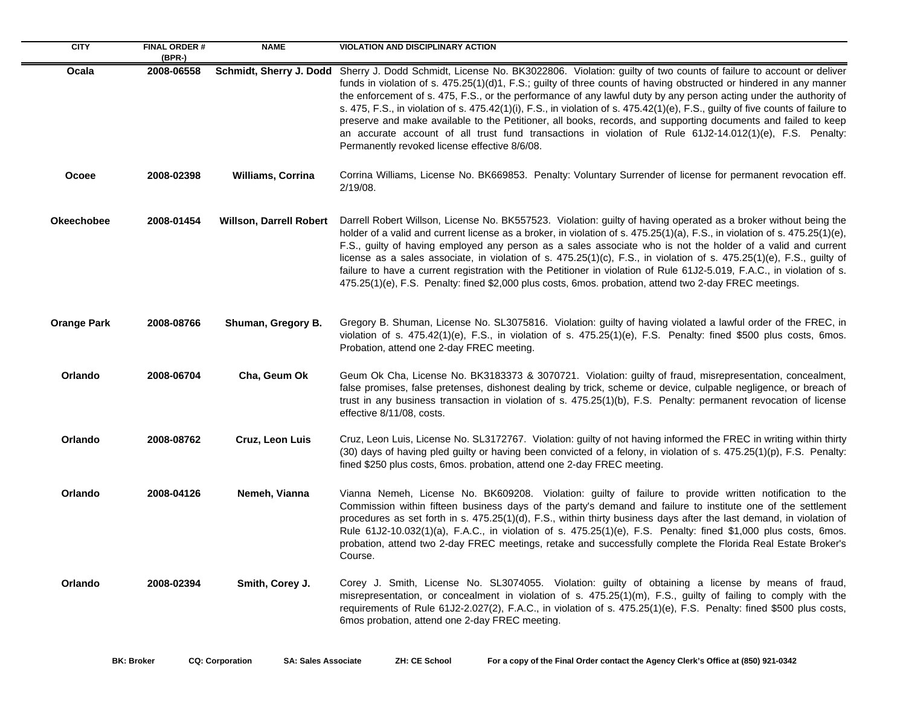| <b>CITY</b>        | <b>FINAL ORDER#</b><br>(BPR-) | <b>NAME</b>                    | <b>VIOLATION AND DISCIPLINARY ACTION</b>                                                                                                                                                                                                                                                                                                                                                                                                                                                                                                                                                                                                                                                                                                                                                                  |
|--------------------|-------------------------------|--------------------------------|-----------------------------------------------------------------------------------------------------------------------------------------------------------------------------------------------------------------------------------------------------------------------------------------------------------------------------------------------------------------------------------------------------------------------------------------------------------------------------------------------------------------------------------------------------------------------------------------------------------------------------------------------------------------------------------------------------------------------------------------------------------------------------------------------------------|
| Ocala              | 2008-06558                    |                                | Schmidt, Sherry J. Dodd Sherry J. Dodd Schmidt, License No. BK3022806. Violation: guilty of two counts of failure to account or deliver<br>funds in violation of s. 475.25(1)(d)1, F.S.; guilty of three counts of having obstructed or hindered in any manner<br>the enforcement of s. 475, F.S., or the performance of any lawful duty by any person acting under the authority of<br>s. 475, F.S., in violation of s. 475.42(1)(i), F.S., in violation of s. 475.42(1)(e), F.S., guilty of five counts of failure to<br>preserve and make available to the Petitioner, all books, records, and supporting documents and failed to keep<br>an accurate account of all trust fund transactions in violation of Rule $61J2-14.012(1)(e)$ , F.S. Penalty:<br>Permanently revoked license effective 8/6/08. |
| Ocoee              | 2008-02398                    | <b>Williams, Corrina</b>       | Corrina Williams, License No. BK669853. Penalty: Voluntary Surrender of license for permanent revocation eff.<br>2/19/08.                                                                                                                                                                                                                                                                                                                                                                                                                                                                                                                                                                                                                                                                                 |
| <b>Okeechobee</b>  | 2008-01454                    | <b>Willson, Darrell Robert</b> | Darrell Robert Willson, License No. BK557523. Violation: guilty of having operated as a broker without being the<br>holder of a valid and current license as a broker, in violation of s. $475.25(1)(a)$ , F.S., in violation of s. $475.25(1)(e)$ ,<br>F.S., guilty of having employed any person as a sales associate who is not the holder of a valid and current<br>license as a sales associate, in violation of s. 475.25(1)(c), F.S., in violation of s. 475.25(1)(e), F.S., guilty of<br>failure to have a current registration with the Petitioner in violation of Rule 61J2-5.019, F.A.C., in violation of s.<br>475.25(1)(e), F.S. Penalty: fined \$2,000 plus costs, 6mos. probation, attend two 2-day FREC meetings.                                                                         |
| <b>Orange Park</b> | 2008-08766                    | Shuman, Gregory B.             | Gregory B. Shuman, License No. SL3075816. Violation: guilty of having violated a lawful order of the FREC, in<br>violation of s. $475.42(1)(e)$ , F.S., in violation of s. $475.25(1)(e)$ , F.S. Penalty: fined \$500 plus costs, 6mos.<br>Probation, attend one 2-day FREC meeting.                                                                                                                                                                                                                                                                                                                                                                                                                                                                                                                      |
| Orlando            | 2008-06704                    | Cha, Geum Ok                   | Geum Ok Cha, License No. BK3183373 & 3070721. Violation: guilty of fraud, misrepresentation, concealment,<br>false promises, false pretenses, dishonest dealing by trick, scheme or device, culpable negligence, or breach of<br>trust in any business transaction in violation of s. 475.25(1)(b), F.S. Penalty: permanent revocation of license<br>effective 8/11/08, costs.                                                                                                                                                                                                                                                                                                                                                                                                                            |
| Orlando            | 2008-08762                    | Cruz, Leon Luis                | Cruz, Leon Luis, License No. SL3172767. Violation: guilty of not having informed the FREC in writing within thirty<br>(30) days of having pled guilty or having been convicted of a felony, in violation of s. 475.25(1)(p), F.S. Penalty:<br>fined \$250 plus costs, 6mos. probation, attend one 2-day FREC meeting.                                                                                                                                                                                                                                                                                                                                                                                                                                                                                     |
| Orlando            | 2008-04126                    | Nemeh, Vianna                  | Vianna Nemeh, License No. BK609208. Violation: guilty of failure to provide written notification to the<br>Commission within fifteen business days of the party's demand and failure to institute one of the settlement<br>procedures as set forth in s. 475.25(1)(d), F.S., within thirty business days after the last demand, in violation of<br>Rule 61J2-10.032(1)(a), F.A.C., in violation of s. 475.25(1)(e), F.S. Penalty: fined \$1,000 plus costs, 6mos.<br>probation, attend two 2-day FREC meetings, retake and successfully complete the Florida Real Estate Broker's<br>Course.                                                                                                                                                                                                              |
| Orlando            | 2008-02394                    | Smith, Corey J.                | Corey J. Smith, License No. SL3074055. Violation: guilty of obtaining a license by means of fraud,<br>misrepresentation, or concealment in violation of s. 475.25(1)(m), F.S., guilty of failing to comply with the<br>requirements of Rule 61J2-2.027(2), F.A.C., in violation of s. 475.25(1)(e), F.S. Penalty: fined \$500 plus costs,<br>6mos probation, attend one 2-day FREC meeting.                                                                                                                                                                                                                                                                                                                                                                                                               |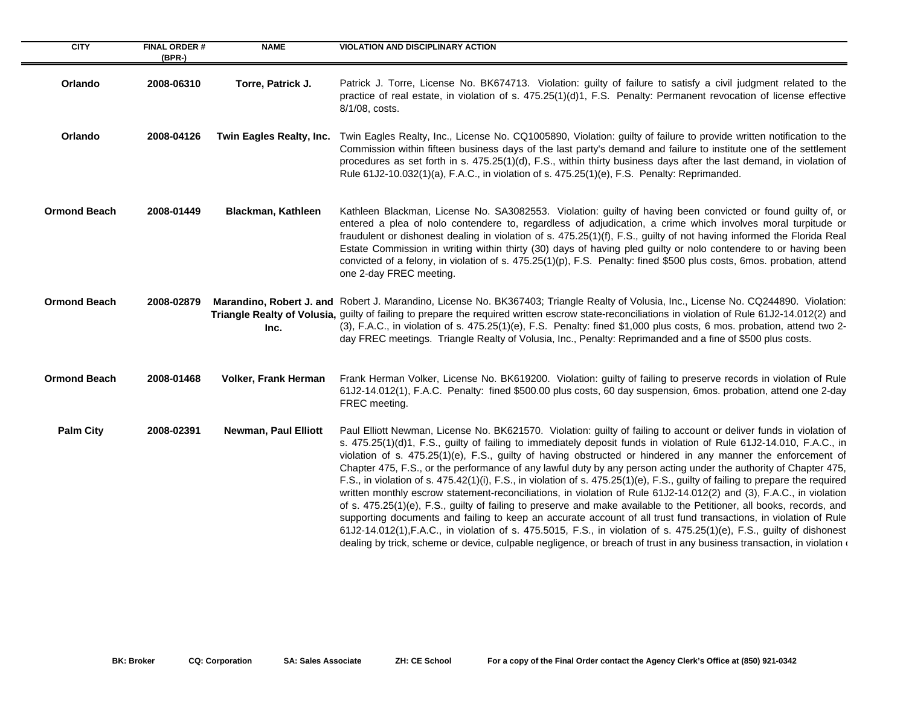| <b>CITY</b>         | <b>FINAL ORDER#</b><br>(BPR-) | <b>NAME</b>                 | <b>VIOLATION AND DISCIPLINARY ACTION</b>                                                                                                                                                                                                                                                                                                                                                                                                                                                                                                                                                                                                                                                                                                                                                                                                                                                                                                                                                                                                                                                                                                                                                                                                  |
|---------------------|-------------------------------|-----------------------------|-------------------------------------------------------------------------------------------------------------------------------------------------------------------------------------------------------------------------------------------------------------------------------------------------------------------------------------------------------------------------------------------------------------------------------------------------------------------------------------------------------------------------------------------------------------------------------------------------------------------------------------------------------------------------------------------------------------------------------------------------------------------------------------------------------------------------------------------------------------------------------------------------------------------------------------------------------------------------------------------------------------------------------------------------------------------------------------------------------------------------------------------------------------------------------------------------------------------------------------------|
| Orlando             | 2008-06310                    | Torre, Patrick J.           | Patrick J. Torre, License No. BK674713. Violation: guilty of failure to satisfy a civil judgment related to the<br>practice of real estate, in violation of s. 475.25(1)(d)1, F.S. Penalty: Permanent revocation of license effective<br>8/1/08, costs.                                                                                                                                                                                                                                                                                                                                                                                                                                                                                                                                                                                                                                                                                                                                                                                                                                                                                                                                                                                   |
| Orlando             | 2008-04126                    | Twin Eagles Realty, Inc.    | Twin Eagles Realty, Inc., License No. CQ1005890, Violation: guilty of failure to provide written notification to the<br>Commission within fifteen business days of the last party's demand and failure to institute one of the settlement<br>procedures as set forth in s. 475.25(1)(d), F.S., within thirty business days after the last demand, in violation of<br>Rule 61J2-10.032(1)(a), F.A.C., in violation of s. 475.25(1)(e), F.S. Penalty: Reprimanded.                                                                                                                                                                                                                                                                                                                                                                                                                                                                                                                                                                                                                                                                                                                                                                          |
| <b>Ormond Beach</b> | 2008-01449                    | Blackman, Kathleen          | Kathleen Blackman, License No. SA3082553. Violation: guilty of having been convicted or found guilty of, or<br>entered a plea of nolo contendere to, regardless of adjudication, a crime which involves moral turpitude or<br>fraudulent or dishonest dealing in violation of s. 475.25(1)(f), F.S., guilty of not having informed the Florida Real<br>Estate Commission in writing within thirty (30) days of having pled guilty or nolo contendere to or having been<br>convicted of a felony, in violation of s. 475.25(1)(p), F.S. Penalty: fined \$500 plus costs, 6mos. probation, attend<br>one 2-day FREC meeting.                                                                                                                                                                                                                                                                                                                                                                                                                                                                                                                                                                                                                |
| <b>Ormond Beach</b> | 2008-02879                    | Inc.                        | Marandino, Robert J. and Robert J. Marandino, License No. BK367403; Triangle Realty of Volusia, Inc., License No. CQ244890. Violation:<br>Triangle Realty of Volusia, guilty of failing to prepare the required written escrow state-reconciliations in violation of Rule 61J2-14.012(2) and<br>(3), F.A.C., in violation of s. 475.25(1)(e), F.S. Penalty: fined \$1,000 plus costs, 6 mos. probation, attend two 2-<br>day FREC meetings. Triangle Realty of Volusia, Inc., Penalty: Reprimanded and a fine of \$500 plus costs.                                                                                                                                                                                                                                                                                                                                                                                                                                                                                                                                                                                                                                                                                                        |
| <b>Ormond Beach</b> | 2008-01468                    | <b>Volker, Frank Herman</b> | Frank Herman Volker, License No. BK619200. Violation: guilty of failing to preserve records in violation of Rule<br>61J2-14.012(1), F.A.C. Penalty: fined \$500.00 plus costs, 60 day suspension, 6mos. probation, attend one 2-day<br>FREC meeting.                                                                                                                                                                                                                                                                                                                                                                                                                                                                                                                                                                                                                                                                                                                                                                                                                                                                                                                                                                                      |
| <b>Palm City</b>    | 2008-02391                    | <b>Newman, Paul Elliott</b> | Paul Elliott Newman, License No. BK621570. Violation: guilty of failing to account or deliver funds in violation of<br>s. 475.25(1)(d)1, F.S., guilty of failing to immediately deposit funds in violation of Rule 61J2-14.010, F.A.C., in<br>violation of s. 475.25(1)(e), F.S., guilty of having obstructed or hindered in any manner the enforcement of<br>Chapter 475, F.S., or the performance of any lawful duty by any person acting under the authority of Chapter 475,<br>F.S., in violation of s. 475.42(1)(i), F.S., in violation of s. 475.25(1)(e), F.S., guilty of failing to prepare the required<br>written monthly escrow statement-reconciliations, in violation of Rule 61J2-14.012(2) and (3), F.A.C., in violation<br>of s. 475.25(1)(e), F.S., guilty of failing to preserve and make available to the Petitioner, all books, records, and<br>supporting documents and failing to keep an accurate account of all trust fund transactions, in violation of Rule<br>61J2-14.012(1), F.A.C., in violation of s. 475.5015, F.S., in violation of s. 475.25(1)(e), F.S., guilty of dishonest<br>dealing by trick, scheme or device, culpable negligence, or breach of trust in any business transaction, in violation ( |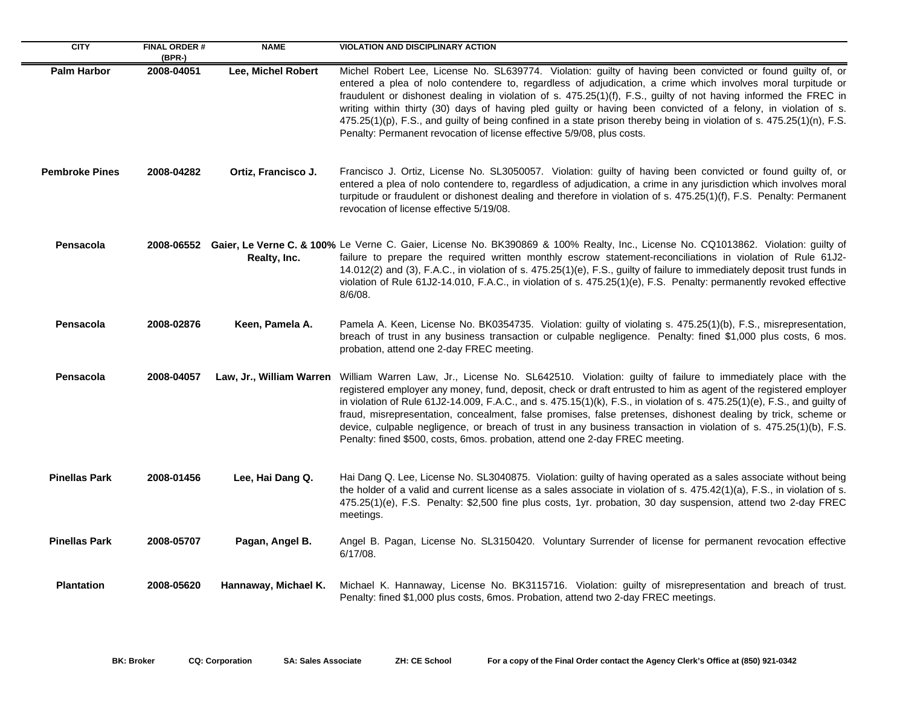| <b>CITY</b>           | <b>FINAL ORDER#</b><br>$(BPR-)$ | <b>NAME</b>              | <b>VIOLATION AND DISCIPLINARY ACTION</b>                                                                                                                                                                                                                                                                                                                                                                                                                                                                                                                                                                                                                                          |
|-----------------------|---------------------------------|--------------------------|-----------------------------------------------------------------------------------------------------------------------------------------------------------------------------------------------------------------------------------------------------------------------------------------------------------------------------------------------------------------------------------------------------------------------------------------------------------------------------------------------------------------------------------------------------------------------------------------------------------------------------------------------------------------------------------|
| <b>Palm Harbor</b>    | 2008-04051                      | Lee, Michel Robert       | Michel Robert Lee, License No. SL639774. Violation: guilty of having been convicted or found guilty of, or<br>entered a plea of nolo contendere to, regardless of adjudication, a crime which involves moral turpitude or<br>fraudulent or dishonest dealing in violation of s. 475.25(1)(f), F.S., guilty of not having informed the FREC in<br>writing within thirty (30) days of having pled guilty or having been convicted of a felony, in violation of s.<br>475.25(1)(p), F.S., and guilty of being confined in a state prison thereby being in violation of s. 475.25(1)(n), F.S.<br>Penalty: Permanent revocation of license effective 5/9/08, plus costs.               |
| <b>Pembroke Pines</b> | 2008-04282                      | Ortiz, Francisco J.      | Francisco J. Ortiz, License No. SL3050057. Violation: guilty of having been convicted or found guilty of, or<br>entered a plea of nolo contendere to, regardless of adjudication, a crime in any jurisdiction which involves moral<br>turpitude or fraudulent or dishonest dealing and therefore in violation of s. 475.25(1)(f), F.S. Penalty: Permanent<br>revocation of license effective 5/19/08.                                                                                                                                                                                                                                                                             |
| Pensacola             |                                 | Realty, Inc.             | 2008-06552 Gaier, Le Verne C. & 100% Le Verne C. Gaier, License No. BK390869 & 100% Realty, Inc., License No. CQ1013862. Violation: guilty of<br>failure to prepare the required written monthly escrow statement-reconciliations in violation of Rule 61J2-<br>14.012(2) and (3), F.A.C., in violation of s. 475.25(1)(e), F.S., guilty of failure to immediately deposit trust funds in<br>violation of Rule 61J2-14.010, F.A.C., in violation of s. 475.25(1)(e), F.S. Penalty: permanently revoked effective<br>$8/6/08$ .                                                                                                                                                    |
| Pensacola             | 2008-02876                      | Keen, Pamela A.          | Pamela A. Keen, License No. BK0354735. Violation: guilty of violating s. 475.25(1)(b), F.S., misrepresentation,<br>breach of trust in any business transaction or culpable negligence. Penalty: fined \$1,000 plus costs, 6 mos.<br>probation, attend one 2-day FREC meeting.                                                                                                                                                                                                                                                                                                                                                                                                     |
| Pensacola             | 2008-04057                      | Law, Jr., William Warren | William Warren Law, Jr., License No. SL642510. Violation: guilty of failure to immediately place with the<br>registered employer any money, fund, deposit, check or draft entrusted to him as agent of the registered employer<br>in violation of Rule 61J2-14.009, F.A.C., and s. 475.15(1)(k), F.S., in violation of s. 475.25(1)(e), F.S., and guilty of<br>fraud, misrepresentation, concealment, false promises, false pretenses, dishonest dealing by trick, scheme or<br>device, culpable negligence, or breach of trust in any business transaction in violation of s. 475.25(1)(b), F.S.<br>Penalty: fined \$500, costs, 6mos. probation, attend one 2-day FREC meeting. |
| <b>Pinellas Park</b>  | 2008-01456                      | Lee, Hai Dang Q.         | Hai Dang Q. Lee, License No. SL3040875. Violation: guilty of having operated as a sales associate without being<br>the holder of a valid and current license as a sales associate in violation of s. 475.42(1)(a), F.S., in violation of s.<br>475.25(1)(e), F.S. Penalty: \$2,500 fine plus costs, 1yr. probation, 30 day suspension, attend two 2-day FREC<br>meetings.                                                                                                                                                                                                                                                                                                         |
| <b>Pinellas Park</b>  | 2008-05707                      | Pagan, Angel B.          | Angel B. Pagan, License No. SL3150420. Voluntary Surrender of license for permanent revocation effective<br>6/17/08.                                                                                                                                                                                                                                                                                                                                                                                                                                                                                                                                                              |
| <b>Plantation</b>     | 2008-05620                      | Hannaway, Michael K.     | Michael K. Hannaway, License No. BK3115716. Violation: guilty of misrepresentation and breach of trust.<br>Penalty: fined \$1,000 plus costs, 6mos. Probation, attend two 2-day FREC meetings.                                                                                                                                                                                                                                                                                                                                                                                                                                                                                    |

÷.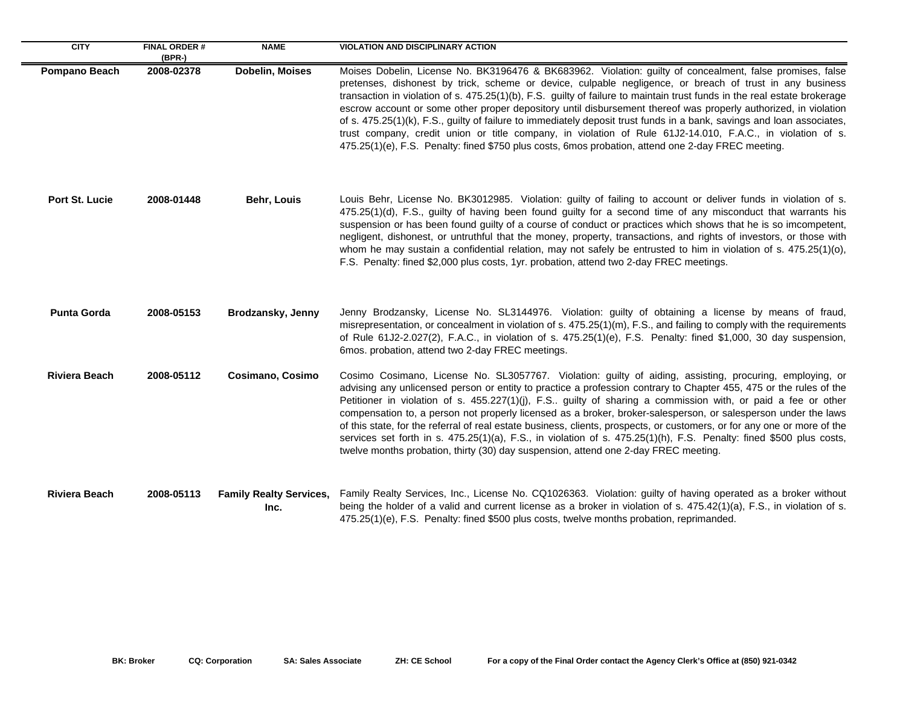| <b>CITY</b>          | <b>FINAL ORDER#</b><br>$(BPR-)$ | <b>NAME</b>                            | <b>VIOLATION AND DISCIPLINARY ACTION</b>                                                                                                                                                                                                                                                                                                                                                                                                                                                                                                                                                                                                                                                                                                                                                                           |
|----------------------|---------------------------------|----------------------------------------|--------------------------------------------------------------------------------------------------------------------------------------------------------------------------------------------------------------------------------------------------------------------------------------------------------------------------------------------------------------------------------------------------------------------------------------------------------------------------------------------------------------------------------------------------------------------------------------------------------------------------------------------------------------------------------------------------------------------------------------------------------------------------------------------------------------------|
| Pompano Beach        | 2008-02378                      | Dobelin, Moises                        | Moises Dobelin, License No. BK3196476 & BK683962. Violation: guilty of concealment, false promises, false<br>pretenses, dishonest by trick, scheme or device, culpable negligence, or breach of trust in any business<br>transaction in violation of s. 475.25(1)(b), F.S. guilty of failure to maintain trust funds in the real estate brokerage<br>escrow account or some other proper depository until disbursement thereof was properly authorized, in violation<br>of s. 475.25(1)(k), F.S., guilty of failure to immediately deposit trust funds in a bank, savings and loan associates,<br>trust company, credit union or title company, in violation of Rule 61J2-14.010, F.A.C., in violation of s.<br>475.25(1)(e), F.S. Penalty: fined \$750 plus costs, 6mos probation, attend one 2-day FREC meeting. |
| Port St. Lucie       | 2008-01448                      | Behr, Louis                            | Louis Behr, License No. BK3012985. Violation: guilty of failing to account or deliver funds in violation of s.<br>475.25(1)(d), F.S., guilty of having been found guilty for a second time of any misconduct that warrants his<br>suspension or has been found guilty of a course of conduct or practices which shows that he is so imcompetent,<br>negligent, dishonest, or untruthful that the money, property, transactions, and rights of investors, or those with<br>whom he may sustain a confidential relation, may not safely be entrusted to him in violation of s. 475.25(1)(o),<br>F.S. Penalty: fined \$2,000 plus costs, 1yr. probation, attend two 2-day FREC meetings.                                                                                                                              |
| <b>Punta Gorda</b>   | 2008-05153                      | Brodzansky, Jenny                      | Jenny Brodzansky, License No. SL3144976. Violation: guilty of obtaining a license by means of fraud,<br>misrepresentation, or concealment in violation of s. 475.25(1)(m), F.S., and failing to comply with the requirements<br>of Rule 61J2-2.027(2), F.A.C., in violation of s. 475.25(1)(e), F.S. Penalty: fined \$1,000, 30 day suspension,<br>6mos. probation, attend two 2-day FREC meetings.                                                                                                                                                                                                                                                                                                                                                                                                                |
| <b>Riviera Beach</b> | 2008-05112                      | Cosimano, Cosimo                       | Cosimo Cosimano, License No. SL3057767. Violation: guilty of aiding, assisting, procuring, employing, or<br>advising any unlicensed person or entity to practice a profession contrary to Chapter 455, 475 or the rules of the<br>Petitioner in violation of s. 455.227(1)(j), F.S guilty of sharing a commission with, or paid a fee or other<br>compensation to, a person not properly licensed as a broker, broker-salesperson, or salesperson under the laws<br>of this state, for the referral of real estate business, clients, prospects, or customers, or for any one or more of the<br>services set forth in s. 475.25(1)(a), F.S., in violation of s. 475.25(1)(h), F.S. Penalty: fined \$500 plus costs,<br>twelve months probation, thirty (30) day suspension, attend one 2-day FREC meeting.         |
| <b>Riviera Beach</b> | 2008-05113                      | <b>Family Realty Services,</b><br>Inc. | Family Realty Services, Inc., License No. CQ1026363. Violation: guilty of having operated as a broker without<br>being the holder of a valid and current license as a broker in violation of s. 475.42(1)(a), F.S., in violation of s.<br>475.25(1)(e), F.S. Penalty: fined \$500 plus costs, twelve months probation, reprimanded.                                                                                                                                                                                                                                                                                                                                                                                                                                                                                |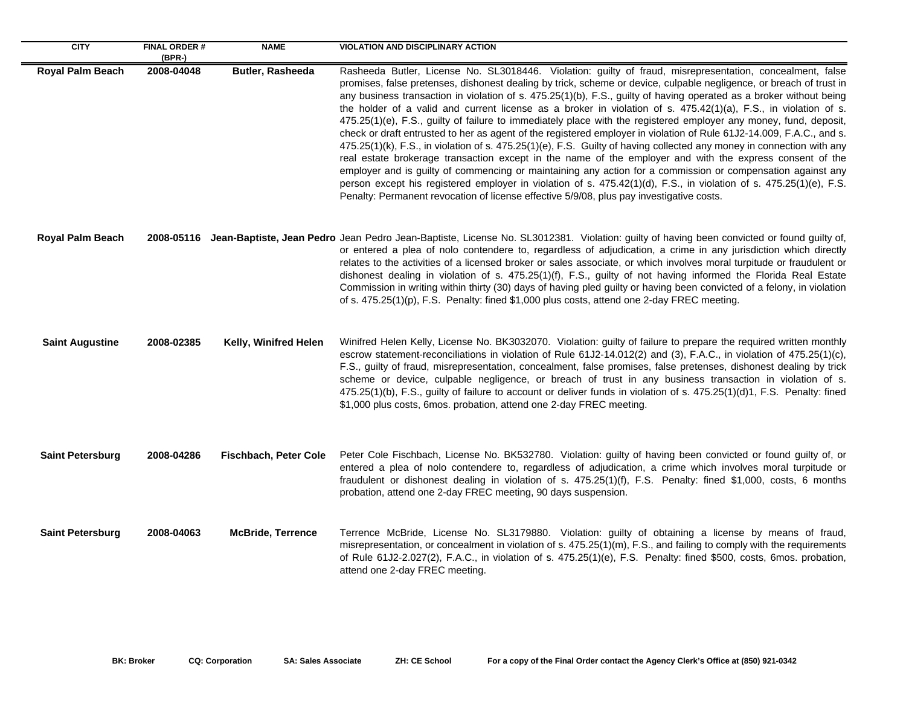| <b>CITY</b>             | <b>FINAL ORDER#</b><br>(BPR-) | <b>NAME</b>                  | <b>VIOLATION AND DISCIPLINARY ACTION</b>                                                                                                                                                                                                                                                                                                                                                                                                                                                                                                                                                                                                                                                                                                                                                                                                                                                                                                                                                                                                                                                                                                                                                                                                                                                      |
|-------------------------|-------------------------------|------------------------------|-----------------------------------------------------------------------------------------------------------------------------------------------------------------------------------------------------------------------------------------------------------------------------------------------------------------------------------------------------------------------------------------------------------------------------------------------------------------------------------------------------------------------------------------------------------------------------------------------------------------------------------------------------------------------------------------------------------------------------------------------------------------------------------------------------------------------------------------------------------------------------------------------------------------------------------------------------------------------------------------------------------------------------------------------------------------------------------------------------------------------------------------------------------------------------------------------------------------------------------------------------------------------------------------------|
| Royal Palm Beach        | 2008-04048                    | Butler, Rasheeda             | Rasheeda Butler, License No. SL3018446. Violation: guilty of fraud, misrepresentation, concealment, false<br>promises, false pretenses, dishonest dealing by trick, scheme or device, culpable negligence, or breach of trust in<br>any business transaction in violation of s. 475.25(1)(b), F.S., guilty of having operated as a broker without being<br>the holder of a valid and current license as a broker in violation of s. 475.42(1)(a), F.S., in violation of s.<br>475.25(1)(e), F.S., guilty of failure to immediately place with the registered employer any money, fund, deposit,<br>check or draft entrusted to her as agent of the registered employer in violation of Rule 61J2-14.009, F.A.C., and s.<br>475.25(1)(k), F.S., in violation of s. 475.25(1)(e), F.S. Guilty of having collected any money in connection with any<br>real estate brokerage transaction except in the name of the employer and with the express consent of the<br>employer and is guilty of commencing or maintaining any action for a commission or compensation against any<br>person except his registered employer in violation of s. 475.42(1)(d), F.S., in violation of s. 475.25(1)(e), F.S.<br>Penalty: Permanent revocation of license effective 5/9/08, plus pay investigative costs. |
| <b>Royal Palm Beach</b> |                               |                              | 2008-05116 Jean-Baptiste, Jean Pedro Jean Pedro Jean-Baptiste, License No. SL3012381. Violation: guilty of having been convicted or found guilty of,<br>or entered a plea of nolo contendere to, regardless of adjudication, a crime in any jurisdiction which directly<br>relates to the activities of a licensed broker or sales associate, or which involves moral turpitude or fraudulent or<br>dishonest dealing in violation of s. 475.25(1)(f), F.S., guilty of not having informed the Florida Real Estate<br>Commission in writing within thirty (30) days of having pled guilty or having been convicted of a felony, in violation<br>of s. 475.25(1)(p), F.S. Penalty: fined \$1,000 plus costs, attend one 2-day FREC meeting.                                                                                                                                                                                                                                                                                                                                                                                                                                                                                                                                                    |
| <b>Saint Augustine</b>  | 2008-02385                    | Kelly, Winifred Helen        | Winifred Helen Kelly, License No. BK3032070. Violation: guilty of failure to prepare the required written monthly<br>escrow statement-reconciliations in violation of Rule 61J2-14.012(2) and (3), F.A.C., in violation of 475.25(1)(c),<br>F.S., guilty of fraud, misrepresentation, concealment, false promises, false pretenses, dishonest dealing by trick<br>scheme or device, culpable negligence, or breach of trust in any business transaction in violation of s.<br>475.25(1)(b), F.S., guilty of failure to account or deliver funds in violation of s. 475.25(1)(d)1, F.S. Penalty: fined<br>\$1,000 plus costs, 6mos. probation, attend one 2-day FREC meeting.                                                                                                                                                                                                                                                                                                                                                                                                                                                                                                                                                                                                                  |
| <b>Saint Petersburg</b> | 2008-04286                    | <b>Fischbach, Peter Cole</b> | Peter Cole Fischbach, License No. BK532780. Violation: guilty of having been convicted or found guilty of, or<br>entered a plea of nolo contendere to, regardless of adjudication, a crime which involves moral turpitude or<br>fraudulent or dishonest dealing in violation of s. 475.25(1)(f), F.S. Penalty: fined \$1,000, costs, 6 months<br>probation, attend one 2-day FREC meeting, 90 days suspension.                                                                                                                                                                                                                                                                                                                                                                                                                                                                                                                                                                                                                                                                                                                                                                                                                                                                                |
| <b>Saint Petersburg</b> | 2008-04063                    | <b>McBride, Terrence</b>     | Terrence McBride, License No. SL3179880. Violation: guilty of obtaining a license by means of fraud,<br>misrepresentation, or concealment in violation of s. 475.25(1)(m), F.S., and failing to comply with the requirements<br>of Rule 61J2-2.027(2), F.A.C., in violation of s. 475.25(1)(e), F.S. Penalty: fined \$500, costs, 6mos. probation,<br>attend one 2-day FREC meeting.                                                                                                                                                                                                                                                                                                                                                                                                                                                                                                                                                                                                                                                                                                                                                                                                                                                                                                          |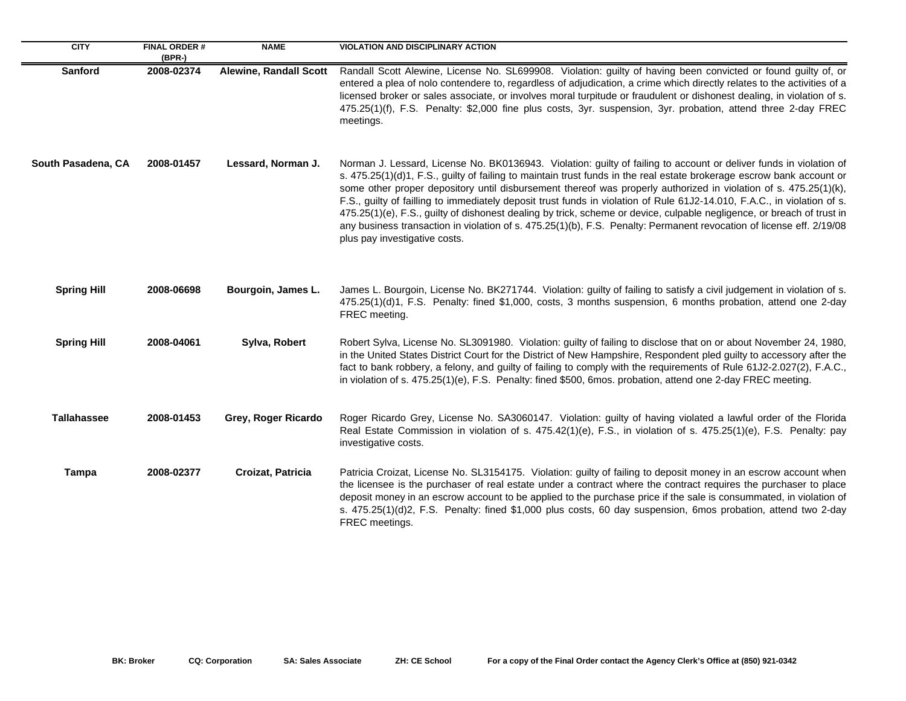| <b>CITY</b>        | <b>FINAL ORDER#</b><br>(BPR-) | <b>NAME</b>                   | <b>VIOLATION AND DISCIPLINARY ACTION</b>                                                                                                                                                                                                                                                                                                                                                                                                                                                                                                                                                                                                                                                                                                                                       |
|--------------------|-------------------------------|-------------------------------|--------------------------------------------------------------------------------------------------------------------------------------------------------------------------------------------------------------------------------------------------------------------------------------------------------------------------------------------------------------------------------------------------------------------------------------------------------------------------------------------------------------------------------------------------------------------------------------------------------------------------------------------------------------------------------------------------------------------------------------------------------------------------------|
| <b>Sanford</b>     | 2008-02374                    | <b>Alewine, Randall Scott</b> | Randall Scott Alewine, License No. SL699908. Violation: guilty of having been convicted or found guilty of, or<br>entered a plea of nolo contendere to, regardless of adjudication, a crime which directly relates to the activities of a<br>licensed broker or sales associate, or involves moral turpitude or fraudulent or dishonest dealing, in violation of s.<br>475.25(1)(f), F.S. Penalty: \$2,000 fine plus costs, 3yr. suspension, 3yr. probation, attend three 2-day FREC<br>meetings.                                                                                                                                                                                                                                                                              |
| South Pasadena, CA | 2008-01457                    | Lessard, Norman J.            | Norman J. Lessard, License No. BK0136943. Violation: guilty of failing to account or deliver funds in violation of<br>s. 475.25(1)(d)1, F.S., guilty of failing to maintain trust funds in the real estate brokerage escrow bank account or<br>some other proper depository until disbursement thereof was properly authorized in violation of s. 475.25(1)(k),<br>F.S., guilty of failling to immediately deposit trust funds in violation of Rule 61J2-14.010, F.A.C., in violation of s.<br>475.25(1)(e), F.S., guilty of dishonest dealing by trick, scheme or device, culpable negligence, or breach of trust in<br>any business transaction in violation of s. 475.25(1)(b), F.S. Penalty: Permanent revocation of license eff. 2/19/08<br>plus pay investigative costs. |
| <b>Spring Hill</b> | 2008-06698                    | Bourgoin, James L.            | James L. Bourgoin, License No. BK271744. Violation: guilty of failing to satisfy a civil judgement in violation of s.<br>475.25(1)(d)1, F.S. Penalty: fined \$1,000, costs, 3 months suspension, 6 months probation, attend one 2-day<br>FREC meeting.                                                                                                                                                                                                                                                                                                                                                                                                                                                                                                                         |
| <b>Spring Hill</b> | 2008-04061                    | Sylva, Robert                 | Robert Sylva, License No. SL3091980. Violation: guilty of failing to disclose that on or about November 24, 1980,<br>in the United States District Court for the District of New Hampshire, Respondent pled guilty to accessory after the<br>fact to bank robbery, a felony, and guilty of failing to comply with the requirements of Rule 61J2-2.027(2), F.A.C.,<br>in violation of s. 475.25(1)(e), F.S. Penalty: fined \$500, 6mos. probation, attend one 2-day FREC meeting.                                                                                                                                                                                                                                                                                               |
| <b>Tallahassee</b> | 2008-01453                    | Grey, Roger Ricardo           | Roger Ricardo Grey, License No. SA3060147. Violation: guilty of having violated a lawful order of the Florida<br>Real Estate Commission in violation of s. 475.42(1)(e), F.S., in violation of s. 475.25(1)(e), F.S. Penalty: pay<br>investigative costs.                                                                                                                                                                                                                                                                                                                                                                                                                                                                                                                      |
| <b>Tampa</b>       | 2008-02377                    | Croizat, Patricia             | Patricia Croizat, License No. SL3154175. Violation: guilty of failing to deposit money in an escrow account when<br>the licensee is the purchaser of real estate under a contract where the contract requires the purchaser to place<br>deposit money in an escrow account to be applied to the purchase price if the sale is consummated, in violation of<br>s. 475.25(1)(d)2, F.S. Penalty: fined \$1,000 plus costs, 60 day suspension, 6mos probation, attend two 2-day<br>FREC meetings.                                                                                                                                                                                                                                                                                  |

 $\sim$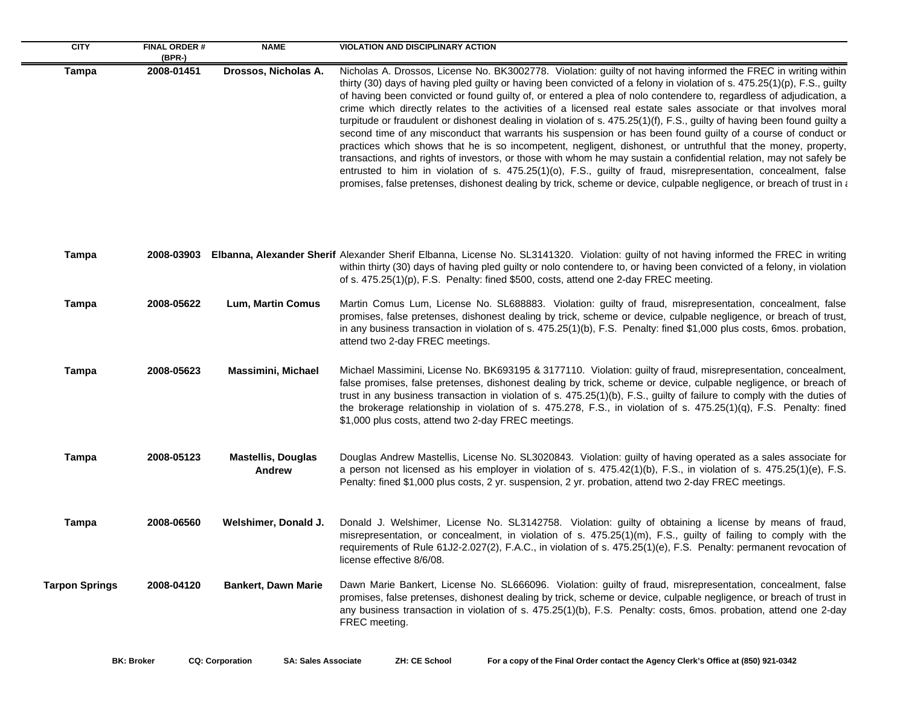| <b>CITY</b>           | <b>FINAL ORDER#</b>  | <b>NAME</b>                                | <b>VIOLATION AND DISCIPLINARY ACTION</b>                                                                                                                                                                                                                                                                                                                                                                                                                                                                                                                                                                                                                                                                                                                                                                                                                                                                                                                                                                                                                                                                                                                                                                                |
|-----------------------|----------------------|--------------------------------------------|-------------------------------------------------------------------------------------------------------------------------------------------------------------------------------------------------------------------------------------------------------------------------------------------------------------------------------------------------------------------------------------------------------------------------------------------------------------------------------------------------------------------------------------------------------------------------------------------------------------------------------------------------------------------------------------------------------------------------------------------------------------------------------------------------------------------------------------------------------------------------------------------------------------------------------------------------------------------------------------------------------------------------------------------------------------------------------------------------------------------------------------------------------------------------------------------------------------------------|
| <b>Tampa</b>          | (BPR-)<br>2008-01451 | Drossos, Nicholas A.                       | Nicholas A. Drossos, License No. BK3002778. Violation: guilty of not having informed the FREC in writing within<br>thirty (30) days of having pled guilty or having been convicted of a felony in violation of s. 475.25(1)(p), F.S., guilty<br>of having been convicted or found guilty of, or entered a plea of nolo contendere to, regardless of adjudication, a<br>crime which directly relates to the activities of a licensed real estate sales associate or that involves moral<br>turpitude or fraudulent or dishonest dealing in violation of s. 475.25(1)(f), F.S., guilty of having been found guilty a<br>second time of any misconduct that warrants his suspension or has been found guilty of a course of conduct or<br>practices which shows that he is so incompetent, negligent, dishonest, or untruthful that the money, property,<br>transactions, and rights of investors, or those with whom he may sustain a confidential relation, may not safely be<br>entrusted to him in violation of s. 475.25(1)(o), F.S., guilty of fraud, misrepresentation, concealment, false<br>promises, false pretenses, dishonest dealing by trick, scheme or device, culpable negligence, or breach of trust in a |
| <b>Tampa</b>          | 2008-03903           |                                            | Elbanna, Alexander Sherif Alexander Sherif Elbanna, License No. SL3141320. Violation: guilty of not having informed the FREC in writing<br>within thirty (30) days of having pled guilty or nolo contendere to, or having been convicted of a felony, in violation<br>of s. 475.25(1)(p), F.S. Penalty: fined \$500, costs, attend one 2-day FREC meeting.                                                                                                                                                                                                                                                                                                                                                                                                                                                                                                                                                                                                                                                                                                                                                                                                                                                              |
| <b>Tampa</b>          | 2008-05622           | <b>Lum, Martin Comus</b>                   | Martin Comus Lum, License No. SL688883. Violation: guilty of fraud, misrepresentation, concealment, false<br>promises, false pretenses, dishonest dealing by trick, scheme or device, culpable negligence, or breach of trust,<br>in any business transaction in violation of s. 475.25(1)(b), F.S. Penalty: fined \$1,000 plus costs, 6mos. probation,<br>attend two 2-day FREC meetings.                                                                                                                                                                                                                                                                                                                                                                                                                                                                                                                                                                                                                                                                                                                                                                                                                              |
| <b>Tampa</b>          | 2008-05623           | <b>Massimini, Michael</b>                  | Michael Massimini, License No. BK693195 & 3177110. Violation: guilty of fraud, misrepresentation, concealment,<br>false promises, false pretenses, dishonest dealing by trick, scheme or device, culpable negligence, or breach of<br>trust in any business transaction in violation of s. 475.25(1)(b), F.S., guilty of failure to comply with the duties of<br>the brokerage relationship in violation of s. 475.278, F.S., in violation of s. 475.25(1)(q), F.S. Penalty: fined<br>\$1,000 plus costs, attend two 2-day FREC meetings.                                                                                                                                                                                                                                                                                                                                                                                                                                                                                                                                                                                                                                                                               |
| <b>Tampa</b>          | 2008-05123           | <b>Mastellis, Douglas</b><br><b>Andrew</b> | Douglas Andrew Mastellis, License No. SL3020843. Violation: guilty of having operated as a sales associate for<br>a person not licensed as his employer in violation of s. 475.42(1)(b), F.S., in violation of s. 475.25(1)(e), F.S.<br>Penalty: fined \$1,000 plus costs, 2 yr. suspension, 2 yr. probation, attend two 2-day FREC meetings.                                                                                                                                                                                                                                                                                                                                                                                                                                                                                                                                                                                                                                                                                                                                                                                                                                                                           |
| <b>Tampa</b>          | 2008-06560           | Welshimer, Donald J.                       | Donald J. Welshimer, License No. SL3142758. Violation: guilty of obtaining a license by means of fraud,<br>misrepresentation, or concealment, in violation of s. 475.25(1)(m), F.S., guilty of failing to comply with the<br>requirements of Rule 61J2-2.027(2), F.A.C., in violation of s. 475.25(1)(e), F.S. Penalty: permanent revocation of<br>license effective 8/6/08.                                                                                                                                                                                                                                                                                                                                                                                                                                                                                                                                                                                                                                                                                                                                                                                                                                            |
| <b>Tarpon Springs</b> | 2008-04120           | <b>Bankert, Dawn Marie</b>                 | Dawn Marie Bankert, License No. SL666096. Violation: guilty of fraud, misrepresentation, concealment, false<br>promises, false pretenses, dishonest dealing by trick, scheme or device, culpable negligence, or breach of trust in<br>any business transaction in violation of s. 475.25(1)(b), F.S. Penalty: costs, 6mos. probation, attend one 2-day<br>FREC meeting.                                                                                                                                                                                                                                                                                                                                                                                                                                                                                                                                                                                                                                                                                                                                                                                                                                                 |

÷.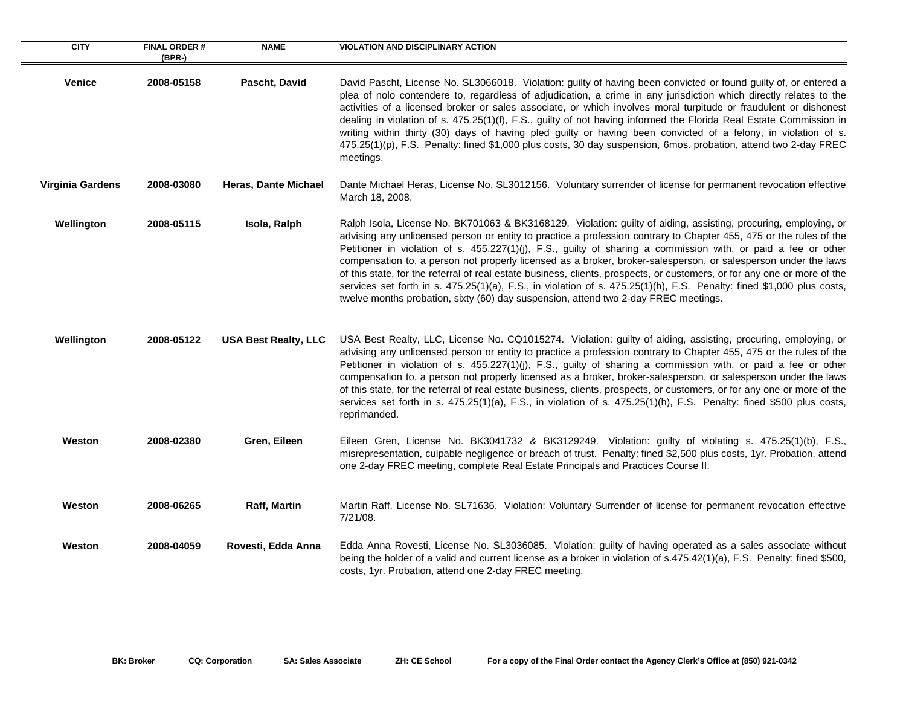| <b>CITY</b>      | <b>FINAL ORDER#</b><br>(BPR-) | <b>NAME</b>                 | <b>VIOLATION AND DISCIPLINARY ACTION</b>                                                                                                                                                                                                                                                                                                                                                                                                                                                                                                                                                                                                                                                                                                                                                                              |
|------------------|-------------------------------|-----------------------------|-----------------------------------------------------------------------------------------------------------------------------------------------------------------------------------------------------------------------------------------------------------------------------------------------------------------------------------------------------------------------------------------------------------------------------------------------------------------------------------------------------------------------------------------------------------------------------------------------------------------------------------------------------------------------------------------------------------------------------------------------------------------------------------------------------------------------|
| <b>Venice</b>    | 2008-05158                    | Pascht, David               | David Pascht, License No. SL3066018. Violation: guilty of having been convicted or found guilty of, or entered a<br>plea of nolo contendere to, regardless of adjudication, a crime in any jurisdiction which directly relates to the<br>activities of a licensed broker or sales associate, or which involves moral turpitude or fraudulent or dishonest<br>dealing in violation of s. 475.25(1)(f), F.S., guilty of not having informed the Florida Real Estate Commission in<br>writing within thirty (30) days of having pled guilty or having been convicted of a felony, in violation of s.<br>475.25(1)(p), F.S. Penalty: fined \$1,000 plus costs, 30 day suspension, 6mos. probation, attend two 2-day FREC<br>meetings.                                                                                     |
| Virginia Gardens | 2008-03080                    | Heras, Dante Michael        | Dante Michael Heras, License No. SL3012156. Voluntary surrender of license for permanent revocation effective<br>March 18, 2008.                                                                                                                                                                                                                                                                                                                                                                                                                                                                                                                                                                                                                                                                                      |
| Wellington       | 2008-05115                    | Isola, Ralph                | Ralph Isola, License No. BK701063 & BK3168129. Violation: guilty of aiding, assisting, procuring, employing, or<br>advising any unlicensed person or entity to practice a profession contrary to Chapter 455, 475 or the rules of the<br>Petitioner in violation of s. 455.227(1)(j), F.S., guilty of sharing a commission with, or paid a fee or other<br>compensation to, a person not properly licensed as a broker, broker-salesperson, or salesperson under the laws<br>of this state, for the referral of real estate business, clients, prospects, or customers, or for any one or more of the<br>services set forth in s. 475.25(1)(a), F.S., in violation of s. 475.25(1)(h), F.S. Penalty: fined \$1,000 plus costs,<br>twelve months probation, sixty (60) day suspension, attend two 2-day FREC meetings. |
| Wellington       | 2008-05122                    | <b>USA Best Realty, LLC</b> | USA Best Realty, LLC, License No. CQ1015274. Violation: guilty of aiding, assisting, procuring, employing, or<br>advising any unlicensed person or entity to practice a profession contrary to Chapter 455, 475 or the rules of the<br>Petitioner in violation of s. 455.227(1)(j), F.S., guilty of sharing a commission with, or paid a fee or other<br>compensation to, a person not properly licensed as a broker, broker-salesperson, or salesperson under the laws<br>of this state, for the referral of real estate business, clients, prospects, or customers, or for any one or more of the<br>services set forth in s. 475.25(1)(a), F.S., in violation of s. 475.25(1)(h), F.S. Penalty: fined \$500 plus costs,<br>reprimanded.                                                                            |
| Weston           | 2008-02380                    | Gren, Eileen                | Eileen Gren, License No. BK3041732 & BK3129249. Violation: guilty of violating s. 475.25(1)(b), F.S.,<br>misrepresentation, culpable negligence or breach of trust. Penalty: fined \$2,500 plus costs, 1yr. Probation, attend<br>one 2-day FREC meeting, complete Real Estate Principals and Practices Course II.                                                                                                                                                                                                                                                                                                                                                                                                                                                                                                     |
| Weston           | 2008-06265                    | Raff, Martin                | Martin Raff, License No. SL71636. Violation: Voluntary Surrender of license for permanent revocation effective<br>7/21/08.                                                                                                                                                                                                                                                                                                                                                                                                                                                                                                                                                                                                                                                                                            |
| Weston           | 2008-04059                    | Rovesti, Edda Anna          | Edda Anna Rovesti, License No. SL3036085. Violation: guilty of having operated as a sales associate without<br>being the holder of a valid and current license as a broker in violation of s.475.42(1)(a), F.S. Penalty: fined \$500,<br>costs, 1yr. Probation, attend one 2-day FREC meeting.                                                                                                                                                                                                                                                                                                                                                                                                                                                                                                                        |